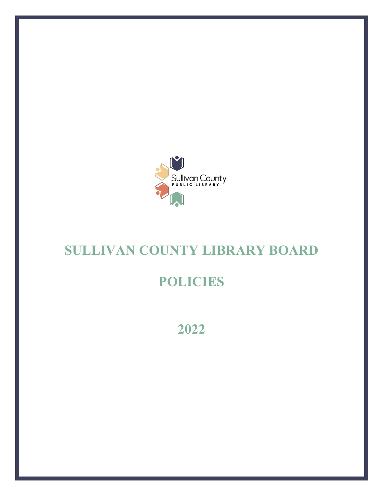

# **SULLIVAN COUNTY LIBRARY BOARD**

# **POLICIES**

**2022**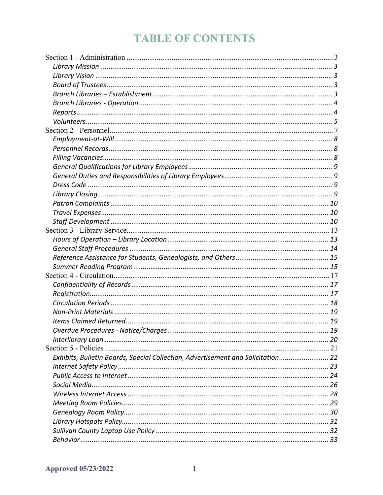# **TABLE OF CONTENTS**

| Exhibits, Bulletin Boards, Special Collection, Advertisement and Solicitation 22 |  |
|----------------------------------------------------------------------------------|--|
|                                                                                  |  |
|                                                                                  |  |
|                                                                                  |  |
|                                                                                  |  |
|                                                                                  |  |
|                                                                                  |  |
|                                                                                  |  |
|                                                                                  |  |
|                                                                                  |  |
|                                                                                  |  |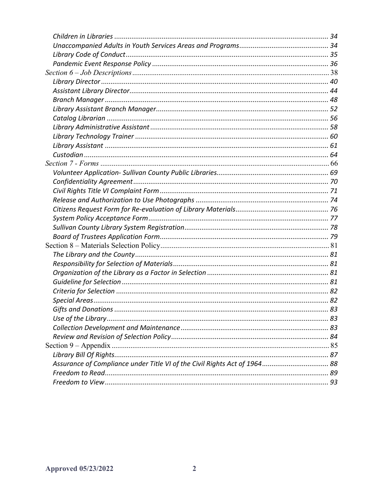| Assurance of Compliance under Title VI of the Civil Rights Act of 1964 88 |  |
|---------------------------------------------------------------------------|--|
|                                                                           |  |
|                                                                           |  |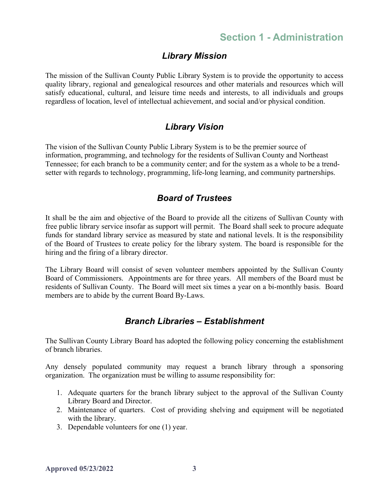# **Section 1 - Administration**

#### *Library Mission*

The mission of the Sullivan County Public Library System is to provide the opportunity to access quality library, regional and genealogical resources and other materials and resources which will satisfy educational, cultural, and leisure time needs and interests, to all individuals and groups regardless of location, level of intellectual achievement, and social and/or physical condition.

#### *Library Vision*

The vision of the Sullivan County Public Library System is to be the premier source of information, programming, and technology for the residents of Sullivan County and Northeast Tennessee; for each branch to be a community center; and for the system as a whole to be a trendsetter with regards to technology, programming, life-long learning, and community partnerships.

#### *Board of Trustees*

It shall be the aim and objective of the Board to provide all the citizens of Sullivan County with free public library service insofar as support will permit. The Board shall seek to procure adequate funds for standard library service as measured by state and national levels. It is the responsibility of the Board of Trustees to create policy for the library system. The board is responsible for the hiring and the firing of a library director.

The Library Board will consist of seven volunteer members appointed by the Sullivan County Board of Commissioners. Appointments are for three years. All members of the Board must be residents of Sullivan County. The Board will meet six times a year on a bi-monthly basis. Board members are to abide by the current Board By-Laws.

#### *Branch Libraries – Establishment*

The Sullivan County Library Board has adopted the following policy concerning the establishment of branch libraries.

Any densely populated community may request a branch library through a sponsoring organization. The organization must be willing to assume responsibility for:

- 1. Adequate quarters for the branch library subject to the approval of the Sullivan County Library Board and Director.
- 2. Maintenance of quarters. Cost of providing shelving and equipment will be negotiated with the library.
- 3. Dependable volunteers for one (1) year.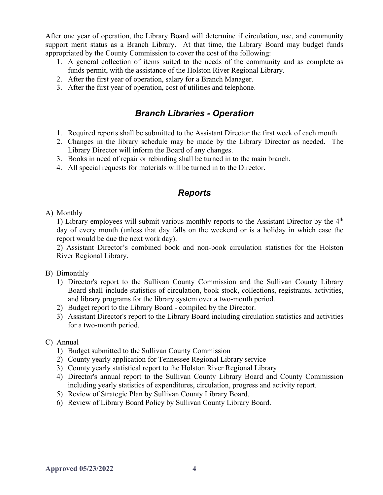After one year of operation, the Library Board will determine if circulation, use, and community support merit status as a Branch Library. At that time, the Library Board may budget funds appropriated by the County Commission to cover the cost of the following:

- 1. A general collection of items suited to the needs of the community and as complete as funds permit, with the assistance of the Holston River Regional Library.
- 2. After the first year of operation, salary for a Branch Manager.
- 3. After the first year of operation, cost of utilities and telephone.

## *Branch Libraries - Operation*

- 1. Required reports shall be submitted to the Assistant Director the first week of each month.
- 2. Changes in the library schedule may be made by the Library Director as needed. The Library Director will inform the Board of any changes.
- 3. Books in need of repair or rebinding shall be turned in to the main branch.
- 4. All special requests for materials will be turned in to the Director.

## *Reports*

#### A) Monthly

1) Library employees will submit various monthly reports to the Assistant Director by the  $4<sup>th</sup>$ day of every month (unless that day falls on the weekend or is a holiday in which case the report would be due the next work day).

2) Assistant Director's combined book and non-book circulation statistics for the Holston River Regional Library.

- B) Bimonthly
	- 1) Director's report to the Sullivan County Commission and the Sullivan County Library Board shall include statistics of circulation, book stock, collections, registrants, activities, and library programs for the library system over a two-month period.
	- 2) Budget report to the Library Board compiled by the Director.
	- 3) Assistant Director's report to the Library Board including circulation statistics and activities for a two-month period.

#### C) Annual

- 1) Budget submitted to the Sullivan County Commission
- 2) County yearly application for Tennessee Regional Library service
- 3) County yearly statistical report to the Holston River Regional Library
- 4) Director's annual report to the Sullivan County Library Board and County Commission including yearly statistics of expenditures, circulation, progress and activity report.
- 5) Review of Strategic Plan by Sullivan County Library Board.
- 6) Review of Library Board Policy by Sullivan County Library Board.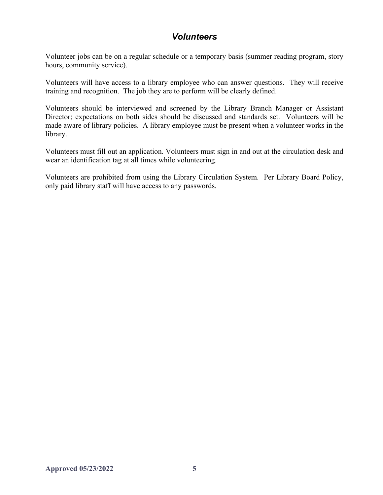## *Volunteers*

Volunteer jobs can be on a regular schedule or a temporary basis (summer reading program, story hours, community service).

Volunteers will have access to a library employee who can answer questions. They will receive training and recognition. The job they are to perform will be clearly defined.

Volunteers should be interviewed and screened by the Library Branch Manager or Assistant Director; expectations on both sides should be discussed and standards set. Volunteers will be made aware of library policies. A library employee must be present when a volunteer works in the library.

Volunteers must fill out an application. Volunteers must sign in and out at the circulation desk and wear an identification tag at all times while volunteering.

Volunteers are prohibited from using the Library Circulation System. Per Library Board Policy, only paid library staff will have access to any passwords.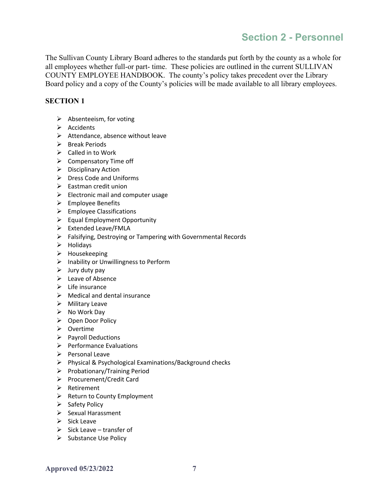# **Section 2 - Personnel**

The Sullivan County Library Board adheres to the standards put forth by the county as a whole for all employees whether full-or part- time. These policies are outlined in the current SULLIVAN COUNTY EMPLOYEE HANDBOOK. The county's policy takes precedent over the Library Board policy and a copy of the County's policies will be made available to all library employees.

#### **SECTION 1**

- $\triangleright$  Absenteeism, for voting
- $\triangleright$  Accidents
- $\triangleright$  Attendance, absence without leave
- $\triangleright$  Break Periods
- $\triangleright$  Called in to Work
- $\triangleright$  Compensatory Time off
- $\triangleright$  Disciplinary Action
- $\triangleright$  Dress Code and Uniforms
- $\triangleright$  Eastman credit union
- $\triangleright$  Electronic mail and computer usage
- $\triangleright$  Employee Benefits
- $\triangleright$  Employee Classifications
- $\triangleright$  Equal Employment Opportunity
- $\triangleright$  Extended Leave/FMLA
- Ø Falsifying, Destroying or Tampering with Governmental Records
- $\triangleright$  Holidays
- $\triangleright$  Housekeeping
- $\triangleright$  Inability or Unwillingness to Perform
- $\triangleright$  Jury duty pay
- $\blacktriangleright$  Leave of Absence
- $\blacktriangleright$  Life insurance
- $\triangleright$  Medical and dental insurance
- $\triangleright$  Military Leave
- $\triangleright$  No Work Day
- Ø Open Door Policy
- $\triangleright$  Overtime
- $\triangleright$  Payroll Deductions
- $\triangleright$  Performance Evaluations
- $\triangleright$  Personal Leave
- $\triangleright$  Physical & Psychological Examinations/Background checks
- $\triangleright$  Probationary/Training Period
- Ø Procurement/Credit Card
- $\triangleright$  Retirement
- $\triangleright$  Return to County Employment
- $\triangleright$  Safety Policy
- $\triangleright$  Sexual Harassment
- $\triangleright$  Sick Leave
- $\triangleright$  Sick Leave transfer of
- $\triangleright$  Substance Use Policy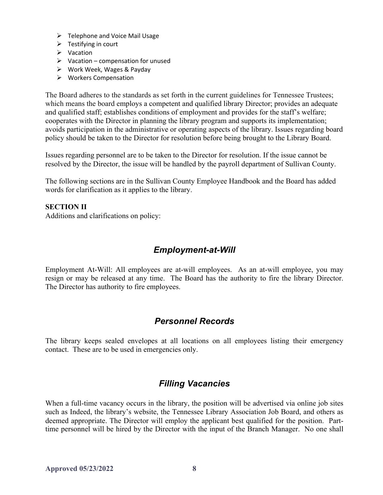- $\triangleright$  Telephone and Voice Mail Usage
- $\triangleright$  Testifying in court
- $\triangleright$  Vacation
- $\triangleright$  Vacation compensation for unused
- $\triangleright$  Work Week, Wages & Payday
- Ø Workers Compensation

The Board adheres to the standards as set forth in the current guidelines for Tennessee Trustees; which means the board employs a competent and qualified library Director; provides an adequate and qualified staff; establishes conditions of employment and provides for the staff's welfare; cooperates with the Director in planning the library program and supports its implementation; avoids participation in the administrative or operating aspects of the library. Issues regarding board policy should be taken to the Director for resolution before being brought to the Library Board.

Issues regarding personnel are to be taken to the Director for resolution. If the issue cannot be resolved by the Director, the issue will be handled by the payroll department of Sullivan County.

The following sections are in the Sullivan County Employee Handbook and the Board has added words for clarification as it applies to the library.

#### **SECTION II**

Additions and clarifications on policy:

# *Employment-at-Will*

Employment At-Will: All employees are at-will employees. As an at-will employee, you may resign or may be released at any time. The Board has the authority to fire the library Director. The Director has authority to fire employees.

## *Personnel Records*

The library keeps sealed envelopes at all locations on all employees listing their emergency contact. These are to be used in emergencies only.

#### *Filling Vacancies*

When a full-time vacancy occurs in the library, the position will be advertised via online job sites such as Indeed, the library's website, the Tennessee Library Association Job Board, and others as deemed appropriate. The Director will employ the applicant best qualified for the position. Parttime personnel will be hired by the Director with the input of the Branch Manager. No one shall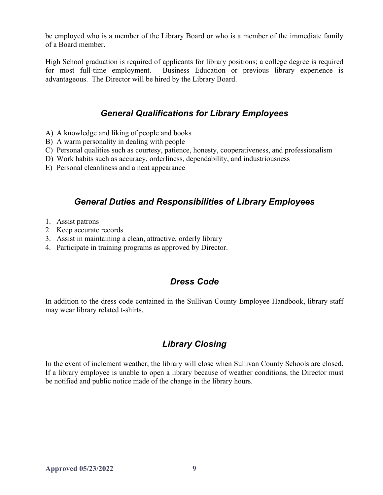be employed who is a member of the Library Board or who is a member of the immediate family of a Board member.

High School graduation is required of applicants for library positions; a college degree is required for most full-time employment. Business Education or previous library experience is advantageous. The Director will be hired by the Library Board.

## *General Qualifications for Library Employees*

- A) A knowledge and liking of people and books
- B) A warm personality in dealing with people
- C) Personal qualities such as courtesy, patience, honesty, cooperativeness, and professionalism
- D) Work habits such as accuracy, orderliness, dependability, and industriousness
- E) Personal cleanliness and a neat appearance

## *General Duties and Responsibilities of Library Employees*

- 1. Assist patrons
- 2. Keep accurate records
- 3. Assist in maintaining a clean, attractive, orderly library
- 4. Participate in training programs as approved by Director.

## *Dress Code*

In addition to the dress code contained in the Sullivan County Employee Handbook, library staff may wear library related t-shirts.

# *Library Closing*

In the event of inclement weather, the library will close when Sullivan County Schools are closed. If a library employee is unable to open a library because of weather conditions, the Director must be notified and public notice made of the change in the library hours.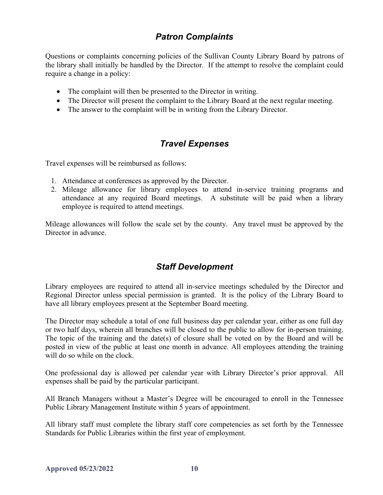# *Patron Complaints*

Questions or complaints concerning policies of the Sullivan County Library Board by patrons of the library shall initially be handled by the Director. If the attempt to resolve the complaint could require a change in a policy:

- The complaint will then be presented to the Director in writing.
- The Director will present the complaint to the Library Board at the next regular meeting.
- The answer to the complaint will be in writing from the Library Director.

## *Travel Expenses*

Travel expenses will be reimbursed as follows:

- 1. Attendance at conferences as approved by the Director.
- 2. Mileage allowance for library employees to attend in-service training programs and attendance at any required Board meetings. A substitute will be paid when a library employee is required to attend meetings.

Mileage allowances will follow the scale set by the county. Any travel must be approved by the Director in advance.

## *Staff Development*

Library employees are required to attend all in-service meetings scheduled by the Director and Regional Director unless special permission is granted. It is the policy of the Library Board to have all library employees present at the September Board meeting.

The Director may schedule a total of one full business day per calendar year, either as one full day or two half days, wherein all branches will be closed to the public to allow for in-person training. The topic of the training and the date(s) of closure shall be voted on by the Board and will be posted in view of the public at least one month in advance. All employees attending the training will do so while on the clock.

One professional day is allowed per calendar year with Library Director's prior approval. All expenses shall be paid by the particular participant.

All Branch Managers without a Master's Degree will be encouraged to enroll in the Tennessee Public Library Management Institute within 5 years of appointment.

All library staff must complete the library staff core competencies as set forth by the Tennessee Standards for Public Libraries within the first year of employment.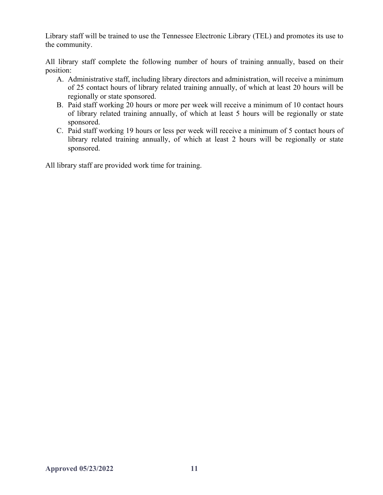Library staff will be trained to use the Tennessee Electronic Library (TEL) and promotes its use to the community.

All library staff complete the following number of hours of training annually, based on their position:

- A. Administrative staff, including library directors and administration, will receive a minimum of 25 contact hours of library related training annually, of which at least 20 hours will be regionally or state sponsored.
- B. Paid staff working 20 hours or more per week will receive a minimum of 10 contact hours of library related training annually, of which at least 5 hours will be regionally or state sponsored.
- C. Paid staff working 19 hours or less per week will receive a minimum of 5 contact hours of library related training annually, of which at least 2 hours will be regionally or state sponsored.

All library staff are provided work time for training.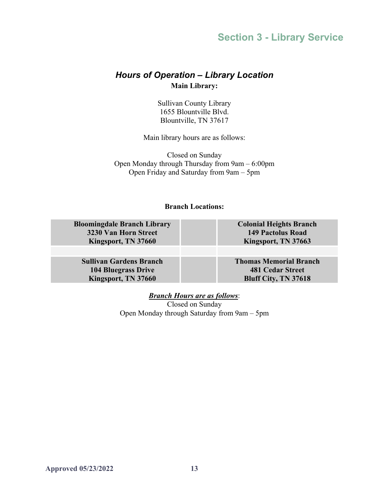# **Section 3 - Library Service**

# *Hours of Operation – Library Location* **Main Library:**

Sullivan County Library 1655 Blountville Blvd. Blountville, TN 37617

Main library hours are as follows:

Closed on Sunday Open Monday through Thursday from 9am – 6:00pm Open Friday and Saturday from 9am – 5pm

#### **Branch Locations:**

| <b>Bloomingdale Branch Library</b> | <b>Colonial Heights Branch</b> |
|------------------------------------|--------------------------------|
| 3230 Van Horn Street               | <b>149 Pactolus Road</b>       |
| Kingsport, TN 37660                | Kingsport, TN 37663            |
|                                    |                                |
| <b>Sullivan Gardens Branch</b>     | <b>Thomas Memorial Branch</b>  |
| <b>104 Bluegrass Drive</b>         | <b>481 Cedar Street</b>        |
| Kingsport, TN 37660                | <b>Bluff City, TN 37618</b>    |

#### *Branch Hours are as follows*:

Closed on Sunday Open Monday through Saturday from 9am – 5pm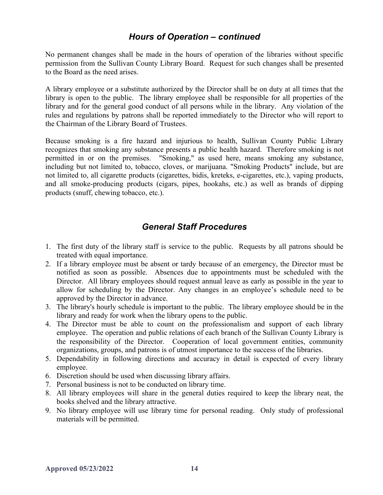#### *Hours of Operation – continued*

No permanent changes shall be made in the hours of operation of the libraries without specific permission from the Sullivan County Library Board. Request for such changes shall be presented to the Board as the need arises.

A library employee or a substitute authorized by the Director shall be on duty at all times that the library is open to the public. The library employee shall be responsible for all properties of the library and for the general good conduct of all persons while in the library. Any violation of the rules and regulations by patrons shall be reported immediately to the Director who will report to the Chairman of the Library Board of Trustees.

Because smoking is a fire hazard and injurious to health, Sullivan County Public Library recognizes that smoking any substance presents a public health hazard. Therefore smoking is not permitted in or on the premises. "Smoking," as used here, means smoking any substance, including but not limited to, tobacco, cloves, or marijuana. "Smoking Products" include, but are not limited to, all cigarette products (cigarettes, bidis, kreteks, e-cigarettes, etc.), vaping products, and all smoke-producing products (cigars, pipes, hookahs, etc.) as well as brands of dipping products (snuff, chewing tobacco, etc.).

## *General Staff Procedures*

- 1. The first duty of the library staff is service to the public. Requests by all patrons should be treated with equal importance.
- 2. If a library employee must be absent or tardy because of an emergency, the Director must be notified as soon as possible. Absences due to appointments must be scheduled with the Director. All library employees should request annual leave as early as possible in the year to allow for scheduling by the Director. Any changes in an employee's schedule need to be approved by the Director in advance.
- 3. The library's hourly schedule is important to the public. The library employee should be in the library and ready for work when the library opens to the public.
- 4. The Director must be able to count on the professionalism and support of each library employee. The operation and public relations of each branch of the Sullivan County Library is the responsibility of the Director. Cooperation of local government entities, community organizations, groups, and patrons is of utmost importance to the success of the libraries.
- 5. Dependability in following directions and accuracy in detail is expected of every library employee.
- 6. Discretion should be used when discussing library affairs.
- 7. Personal business is not to be conducted on library time.
- 8. All library employees will share in the general duties required to keep the library neat, the books shelved and the library attractive.
- 9. No library employee will use library time for personal reading. Only study of professional materials will be permitted.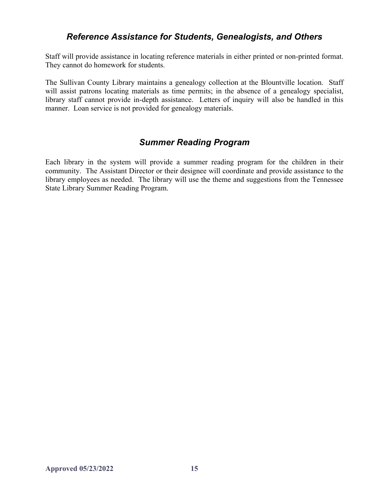## *Reference Assistance for Students, Genealogists, and Others*

Staff will provide assistance in locating reference materials in either printed or non-printed format. They cannot do homework for students.

The Sullivan County Library maintains a genealogy collection at the Blountville location. Staff will assist patrons locating materials as time permits; in the absence of a genealogy specialist, library staff cannot provide in-depth assistance. Letters of inquiry will also be handled in this manner. Loan service is not provided for genealogy materials.

## *Summer Reading Program*

Each library in the system will provide a summer reading program for the children in their community. The Assistant Director or their designee will coordinate and provide assistance to the library employees as needed. The library will use the theme and suggestions from the Tennessee State Library Summer Reading Program.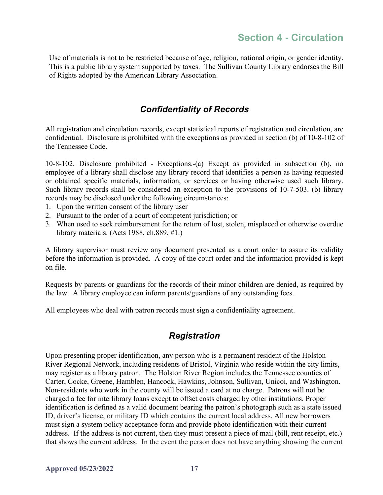# **Section 4 - Circulation**

Use of materials is not to be restricted because of age, religion, national origin, or gender identity. This is a public library system supported by taxes. The Sullivan County Library endorses the Bill of Rights adopted by the American Library Association.

#### *Confidentiality of Records*

All registration and circulation records, except statistical reports of registration and circulation, are confidential. Disclosure is prohibited with the exceptions as provided in section (b) of 10-8-102 of the Tennessee Code.

10-8-102. Disclosure prohibited - Exceptions.-(a) Except as provided in subsection (b), no employee of a library shall disclose any library record that identifies a person as having requested or obtained specific materials, information, or services or having otherwise used such library. Such library records shall be considered an exception to the provisions of 10-7-503. (b) library records may be disclosed under the following circumstances:

- 1. Upon the written consent of the library user
- 2. Pursuant to the order of a court of competent jurisdiction; or
- 3. When used to seek reimbursement for the return of lost, stolen, misplaced or otherwise overdue library materials. (Acts 1988, ch.889, #1.)

A library supervisor must review any document presented as a court order to assure its validity before the information is provided. A copy of the court order and the information provided is kept on file.

Requests by parents or guardians for the records of their minor children are denied, as required by the law. A library employee can inform parents/guardians of any outstanding fees.

All employees who deal with patron records must sign a confidentiality agreement.

#### *Registration*

Upon presenting proper identification, any person who is a permanent resident of the Holston River Regional Network, including residents of Bristol, Virginia who reside within the city limits, may register as a library patron. The Holston River Region includes the Tennessee counties of Carter, Cocke, Greene, Hamblen, Hancock, Hawkins, Johnson, Sullivan, Unicoi, and Washington. Non-residents who work in the county will be issued a card at no charge. Patrons will not be charged a fee for interlibrary loans except to offset costs charged by other institutions. Proper identification is defined as a valid document bearing the patron's photograph such as a state issued ID, driver's license, or military ID which contains the current local address. All new borrowers must sign a system policy acceptance form and provide photo identification with their current address. If the address is not current, then they must present a piece of mail (bill, rent receipt, etc.) that shows the current address. In the event the person does not have anything showing the current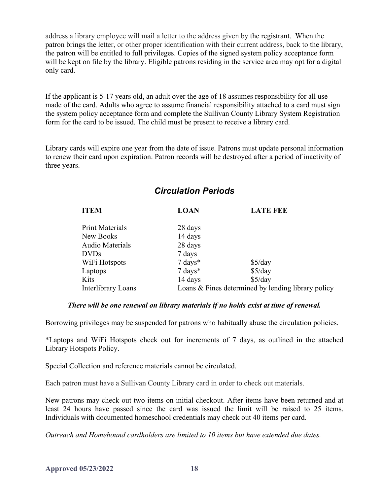address a library employee will mail a letter to the address given by the registrant. When the patron brings the letter, or other proper identification with their current address, back to the library, the patron will be entitled to full privileges. Copies of the signed system policy acceptance form will be kept on file by the library. Eligible patrons residing in the service area may opt for a digital only card.

If the applicant is 5-17 years old, an adult over the age of 18 assumes responsibility for all use made of the card. Adults who agree to assume financial responsibility attached to a card must sign the system policy acceptance form and complete the Sullivan County Library System Registration form for the card to be issued. The child must be present to receive a library card.

Library cards will expire one year from the date of issue. Patrons must update personal information to renew their card upon expiration. Patron records will be destroyed after a period of inactivity of three years.

| <b>ITEM</b>            | <b>LOAN</b> | <b>LATE FEE</b>                                    |  |
|------------------------|-------------|----------------------------------------------------|--|
| <b>Print Materials</b> | 28 days     |                                                    |  |
| New Books              | 14 days     |                                                    |  |
| <b>Audio Materials</b> | 28 days     |                                                    |  |
| <b>DVDs</b>            | 7 days      |                                                    |  |
| WiFi Hotspots          | 7 days*     | \$5/day                                            |  |
| Laptops                | 7 days*     | \$5/day                                            |  |
| Kits                   | 14 days     | \$5/day                                            |  |
| Interlibrary Loans     |             | Loans & Fines determined by lending library policy |  |

## *Circulation Periods*

#### *There will be one renewal on library materials if no holds exist at time of renewal.*

Borrowing privileges may be suspended for patrons who habitually abuse the circulation policies.

\*Laptops and WiFi Hotspots check out for increments of 7 days, as outlined in the attached Library Hotspots Policy.

Special Collection and reference materials cannot be circulated.

Each patron must have a Sullivan County Library card in order to check out materials.

New patrons may check out two items on initial checkout. After items have been returned and at least 24 hours have passed since the card was issued the limit will be raised to 25 items. Individuals with documented homeschool credentials may check out 40 items per card.

*Outreach and Homebound cardholders are limited to 10 items but have extended due dates.*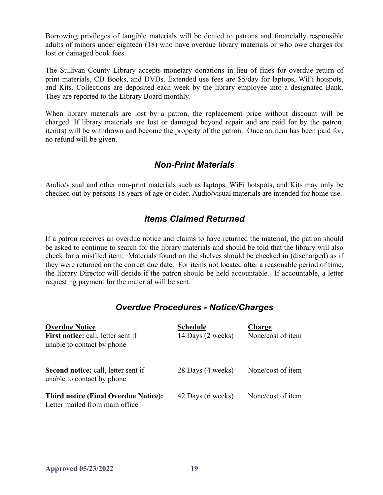Borrowing privileges of tangible materials will be denied to patrons and financially responsible adults of minors under eighteen (18) who have overdue library materials or who owe charges for lost or damaged book fees.

The Sullivan County Library accepts monetary donations in lieu of fines for overdue return of print materials, CD Books, and DVDs. Extended use fees are \$5/day for laptops, WiFi hotspots, and Kits. Collections are deposited each week by the library employee into a designated Bank. They are reported to the Library Board monthly.

When library materials are lost by a patron, the replacement price without discount will be charged. If library materials are lost or damaged beyond repair and are paid for by the patron, item(s) will be withdrawn and become the property of the patron. Once an item has been paid for, no refund will be given.

## *Non-Print Materials*

Audio/visual and other non-print materials such as laptops, WiFi hotspots, and Kits may only be checked out by persons 18 years of age or older. Audio/visual materials are intended for home use.

## *Items Claimed Returned*

If a patron receives an overdue notice and claims to have returned the material, the patron should be asked to continue to search for the library materials and should be told that the library will also check for a misfiled item. Materials found on the shelves should be checked in (discharged) as if they were returned on the correct due date. For items not located after a reasonable period of time, the library Director will decide if the patron should be held accountable. If accountable, a letter requesting payment for the material will be sent.

## *Overdue Procedures - Notice/Charges*

| <b>Overdue Notice</b><br>First notice: call, letter sent if<br>unable to contact by phone | <b>Schedule</b><br>14 Days (2 weeks) | Charge<br>None/cost of item |
|-------------------------------------------------------------------------------------------|--------------------------------------|-----------------------------|
| <b>Second notice:</b> call, letter sent if<br>unable to contact by phone                  | 28 Days (4 weeks)                    | None/cost of item           |
| <b>Third notice (Final Overdue Notice):</b><br>Letter mailed from main office             | 42 Days (6 weeks)                    | None/cost of item           |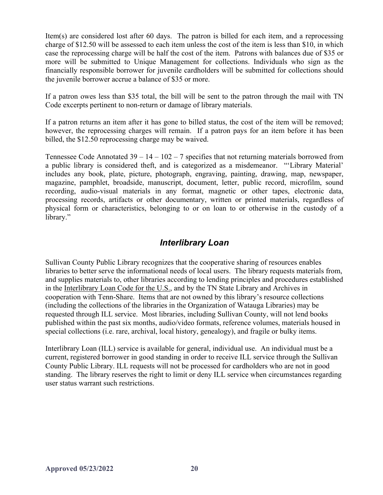Item(s) are considered lost after 60 days. The patron is billed for each item, and a reprocessing charge of \$12.50 will be assessed to each item unless the cost of the item is less than \$10, in which case the reprocessing charge will be half the cost of the item. Patrons with balances due of \$35 or more will be submitted to Unique Management for collections. Individuals who sign as the financially responsible borrower for juvenile cardholders will be submitted for collections should the juvenile borrower accrue a balance of \$35 or more.

If a patron owes less than \$35 total, the bill will be sent to the patron through the mail with TN Code excerpts pertinent to non-return or damage of library materials.

If a patron returns an item after it has gone to billed status, the cost of the item will be removed; however, the reprocessing charges will remain. If a patron pays for an item before it has been billed, the \$12.50 reprocessing charge may be waived.

Tennessee Code Annotated  $39 - 14 - 102 - 7$  specifies that not returning materials borrowed from a public library is considered theft, and is categorized as a misdemeanor. "'Library Material' includes any book, plate, picture, photograph, engraving, painting, drawing, map, newspaper, magazine, pamphlet, broadside, manuscript, document, letter, public record, microfilm, sound recording, audio-visual materials in any format, magnetic or other tapes, electronic data, processing records, artifacts or other documentary, written or printed materials, regardless of physical form or characteristics, belonging to or on loan to or otherwise in the custody of a library."

#### *Interlibrary Loan*

Sullivan County Public Library recognizes that the cooperative sharing of resources enables libraries to better serve the informational needs of local users. The library requests materials from, and supplies materials to, other libraries according to lending principles and procedures established in the Interlibrary Loan Code for the U.S., and by the TN State Library and Archives in cooperation with Tenn-Share. Items that are not owned by this library's resource collections (including the collections of the libraries in the Organization of Watauga Libraries) may be requested through ILL service. Most libraries, including Sullivan County, will not lend books published within the past six months, audio/video formats, reference volumes, materials housed in special collections (i.e. rare, archival, local history, genealogy), and fragile or bulky items.

Interlibrary Loan (ILL) service is available for general, individual use. An individual must be a current, registered borrower in good standing in order to receive ILL service through the Sullivan County Public Library. ILL requests will not be processed for cardholders who are not in good standing. The library reserves the right to limit or deny ILL service when circumstances regarding user status warrant such restrictions.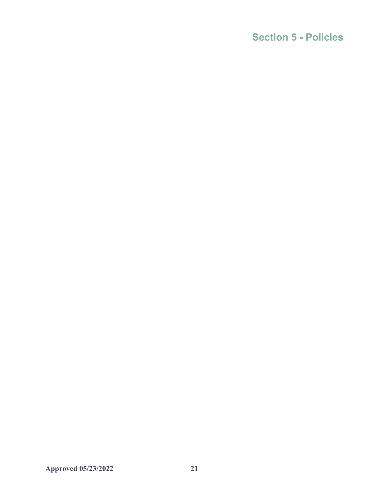# **Section 5 - Policies**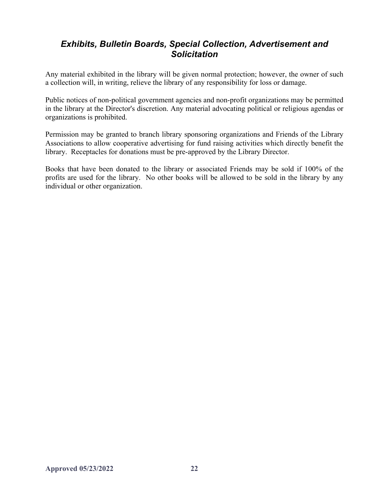## *Exhibits, Bulletin Boards, Special Collection, Advertisement and Solicitation*

Any material exhibited in the library will be given normal protection; however, the owner of such a collection will, in writing, relieve the library of any responsibility for loss or damage.

Public notices of non-political government agencies and non-profit organizations may be permitted in the library at the Director's discretion. Any material advocating political or religious agendas or organizations is prohibited.

Permission may be granted to branch library sponsoring organizations and Friends of the Library Associations to allow cooperative advertising for fund raising activities which directly benefit the library. Receptacles for donations must be pre-approved by the Library Director.

Books that have been donated to the library or associated Friends may be sold if 100% of the profits are used for the library. No other books will be allowed to be sold in the library by any individual or other organization.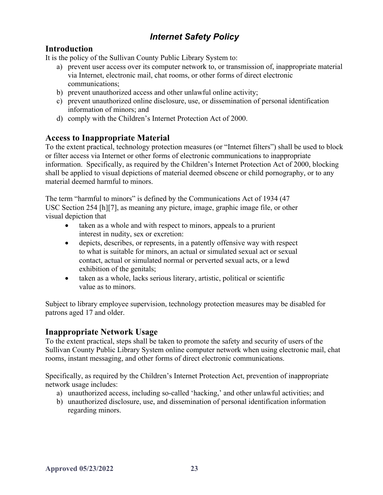# *Internet Safety Policy*

#### **Introduction**

It is the policy of the Sullivan County Public Library System to:

- a) prevent user access over its computer network to, or transmission of, inappropriate material via Internet, electronic mail, chat rooms, or other forms of direct electronic communications;
- b) prevent unauthorized access and other unlawful online activity;
- c) prevent unauthorized online disclosure, use, or dissemination of personal identification information of minors; and
- d) comply with the Children's Internet Protection Act of 2000.

#### **Access to Inappropriate Material**

To the extent practical, technology protection measures (or "Internet filters") shall be used to block or filter access via Internet or other forms of electronic communications to inappropriate information. Specifically, as required by the Children's Internet Protection Act of 2000, blocking shall be applied to visual depictions of material deemed obscene or child pornography, or to any material deemed harmful to minors.

The term "harmful to minors" is defined by the Communications Act of 1934 (47 USC Section 254 [h][7], as meaning any picture, image, graphic image file, or other visual depiction that

- taken as a whole and with respect to minors, appeals to a prurient interest in nudity, sex or excretion:
- depicts, describes, or represents, in a patently offensive way with respect to what is suitable for minors, an actual or simulated sexual act or sexual contact, actual or simulated normal or perverted sexual acts, or a lewd exhibition of the genitals;
- taken as a whole, lacks serious literary, artistic, political or scientific value as to minors.

Subject to library employee supervision, technology protection measures may be disabled for patrons aged 17 and older.

#### **Inappropriate Network Usage**

To the extent practical, steps shall be taken to promote the safety and security of users of the Sullivan County Public Library System online computer network when using electronic mail, chat rooms, instant messaging, and other forms of direct electronic communications.

Specifically, as required by the Children's Internet Protection Act, prevention of inappropriate network usage includes:

- a) unauthorized access, including so-called 'hacking,' and other unlawful activities; and
- b) unauthorized disclosure, use, and dissemination of personal identification information regarding minors.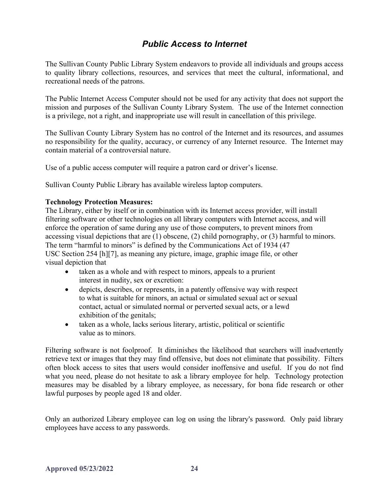# *Public Access to Internet*

The Sullivan County Public Library System endeavors to provide all individuals and groups access to quality library collections, resources, and services that meet the cultural, informational, and recreational needs of the patrons.

The Public Internet Access Computer should not be used for any activity that does not support the mission and purposes of the Sullivan County Library System. The use of the Internet connection is a privilege, not a right, and inappropriate use will result in cancellation of this privilege.

The Sullivan County Library System has no control of the Internet and its resources, and assumes no responsibility for the quality, accuracy, or currency of any Internet resource. The Internet may contain material of a controversial nature.

Use of a public access computer will require a patron card or driver's license.

Sullivan County Public Library has available wireless laptop computers.

#### **Technology Protection Measures:**

The Library, either by itself or in combination with its Internet access provider, will install filtering software or other technologies on all library computers with Internet access, and will enforce the operation of same during any use of those computers, to prevent minors from accessing visual depictions that are (1) obscene, (2) child pornography, or (3) harmful to minors. The term "harmful to minors" is defined by the Communications Act of 1934 (47 USC Section 254 [h][7], as meaning any picture, image, graphic image file, or other visual depiction that

- taken as a whole and with respect to minors, appeals to a prurient interest in nudity, sex or excretion:
- depicts, describes, or represents, in a patently offensive way with respect to what is suitable for minors, an actual or simulated sexual act or sexual contact, actual or simulated normal or perverted sexual acts, or a lewd exhibition of the genitals;
- taken as a whole, lacks serious literary, artistic, political or scientific value as to minors.

Filtering software is not foolproof. It diminishes the likelihood that searchers will inadvertently retrieve text or images that they may find offensive, but does not eliminate that possibility. Filters often block access to sites that users would consider inoffensive and useful. If you do not find what you need, please do not hesitate to ask a library employee for help. Technology protection measures may be disabled by a library employee, as necessary, for bona fide research or other lawful purposes by people aged 18 and older.

Only an authorized Library employee can log on using the library's password. Only paid library employees have access to any passwords.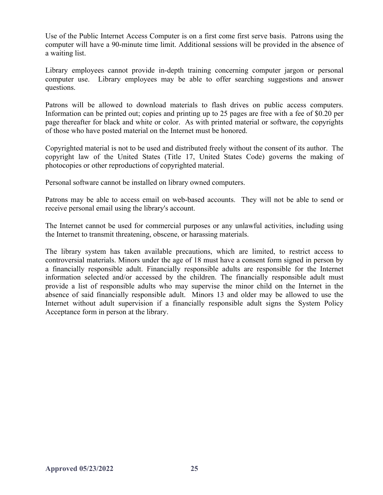Use of the Public Internet Access Computer is on a first come first serve basis. Patrons using the computer will have a 90-minute time limit. Additional sessions will be provided in the absence of a waiting list.

Library employees cannot provide in-depth training concerning computer jargon or personal computer use. Library employees may be able to offer searching suggestions and answer questions.

Patrons will be allowed to download materials to flash drives on public access computers. Information can be printed out; copies and printing up to 25 pages are free with a fee of \$0.20 per page thereafter for black and white or color. As with printed material or software, the copyrights of those who have posted material on the Internet must be honored.

Copyrighted material is not to be used and distributed freely without the consent of its author. The copyright law of the United States (Title 17, United States Code) governs the making of photocopies or other reproductions of copyrighted material.

Personal software cannot be installed on library owned computers.

Patrons may be able to access email on web-based accounts. They will not be able to send or receive personal email using the library's account.

The Internet cannot be used for commercial purposes or any unlawful activities, including using the Internet to transmit threatening, obscene, or harassing materials.

The library system has taken available precautions, which are limited, to restrict access to controversial materials. Minors under the age of 18 must have a consent form signed in person by a financially responsible adult. Financially responsible adults are responsible for the Internet information selected and/or accessed by the children. The financially responsible adult must provide a list of responsible adults who may supervise the minor child on the Internet in the absence of said financially responsible adult. Minors 13 and older may be allowed to use the Internet without adult supervision if a financially responsible adult signs the System Policy Acceptance form in person at the library.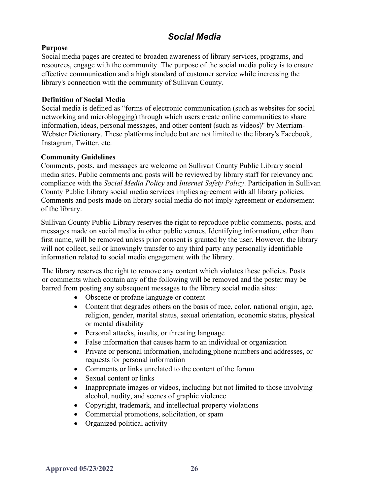# *Social Media*

#### **Purpose**

Social media pages are created to broaden awareness of library services, programs, and resources, engage with the community. The purpose of the social media policy is to ensure effective communication and a high standard of customer service while increasing the library's connection with the community of Sullivan County.

#### **Definition of Social Media**

Social media is defined as "forms of electronic communication (such as websites for social networking and microblogging) through which users create online communities to share information, ideas, personal messages, and other content (such as videos)" by Merriam-Webster Dictionary. These platforms include but are not limited to the library's Facebook, Instagram, Twitter, etc.

#### **Community Guidelines**

Comments, posts, and messages are welcome on Sullivan County Public Library social media sites. Public comments and posts will be reviewed by library staff for relevancy and compliance with the *Social Media Policy* and *Internet Safety Policy*. Participation in Sullivan County Public Library social media services implies agreement with all library policies. Comments and posts made on library social media do not imply agreement or endorsement of the library.

Sullivan County Public Library reserves the right to reproduce public comments, posts, and messages made on social media in other public venues. Identifying information, other than first name, will be removed unless prior consent is granted by the user. However, the library will not collect, sell or knowingly transfer to any third party any personally identifiable information related to social media engagement with the library.

The library reserves the right to remove any content which violates these policies. Posts or comments which contain any of the following will be removed and the poster may be barred from posting any subsequent messages to the library social media sites:

- Obscene or profane language or content
- Content that degrades others on the basis of race, color, national origin, age, religion, gender, marital status, sexual orientation, economic status, physical or mental disability
- Personal attacks, insults, or threating language
- False information that causes harm to an individual or organization
- Private or personal information, including phone numbers and addresses, or requests for personal information
- Comments or links unrelated to the content of the forum
- Sexual content or links
- Inappropriate images or videos, including but not limited to those involving alcohol, nudity, and scenes of graphic violence
- Copyright, trademark, and intellectual property violations
- Commercial promotions, solicitation, or spam
- Organized political activity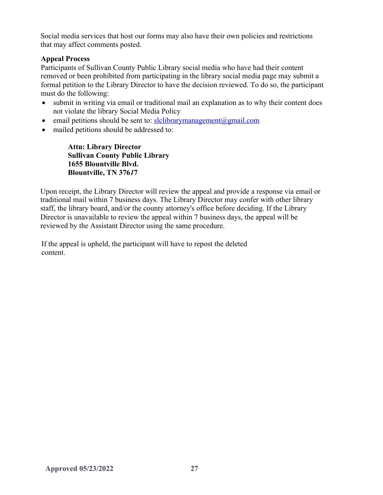Social media services that host our forms may also have their own policies and restrictions that may affect comments posted.

#### **Appeal Process**

Participants of Sullivan County Public Library social media who have had their content removed or been prohibited from participating in the library social media page may submit a formal petition to the Library Director to have the decision reviewed. To do so, the participant must do the following:

- submit in writing via email or traditional mail an explanation as to why their content does not violate the library Social Media Policy
- email petitions should be sent to:  $\frac{s}{\text{lelib}r}$  and sent  $\frac{\text{d}g}{\text{d}g}$
- mailed petitions should be addressed to:

**Attn: Library Director Sullivan County Public Library 1655 Blountville Blvd. Blountville, TN 376***1***7**

Upon receipt, the Library Director will review the appeal and provide a response via email or traditional mail within 7 business days. The Library Director may confer with other library staff, the library board, and/or the county attorney's office before deciding. If the Library Director is unavailable to review the appeal within 7 business days, the appeal will be reviewed by the Assistant Director using the same procedure.

If the appeal is upheld, the participant will have to repost the deleted content.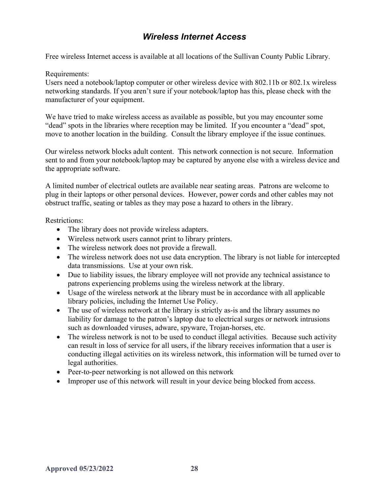# *Wireless Internet Access*

Free wireless Internet access is available at all locations of the Sullivan County Public Library.

#### Requirements:

Users need a notebook/laptop computer or other wireless device with 802.11b or 802.1x wireless networking standards. If you aren't sure if your notebook/laptop has this, please check with the manufacturer of your equipment.

We have tried to make wireless access as available as possible, but you may encounter some "dead" spots in the libraries where reception may be limited. If you encounter a "dead" spot, move to another location in the building. Consult the library employee if the issue continues.

Our wireless network blocks adult content. This network connection is not secure. Information sent to and from your notebook/laptop may be captured by anyone else with a wireless device and the appropriate software.

A limited number of electrical outlets are available near seating areas. Patrons are welcome to plug in their laptops or other personal devices. However, power cords and other cables may not obstruct traffic, seating or tables as they may pose a hazard to others in the library.

Restrictions:

- The library does not provide wireless adapters.
- Wireless network users cannot print to library printers.
- The wireless network does not provide a firewall.
- The wireless network does not use data encryption. The library is not liable for intercepted data transmissions. Use at your own risk.
- Due to liability issues, the library employee will not provide any technical assistance to patrons experiencing problems using the wireless network at the library.
- Usage of the wireless network at the library must be in accordance with all applicable library policies, including the Internet Use Policy.
- The use of wireless network at the library is strictly as-is and the library assumes no liability for damage to the patron's laptop due to electrical surges or network intrusions such as downloaded viruses, adware, spyware, Trojan-horses, etc.
- The wireless network is not to be used to conduct illegal activities. Because such activity can result in loss of service for all users, if the library receives information that a user is conducting illegal activities on its wireless network, this information will be turned over to legal authorities.
- Peer-to-peer networking is not allowed on this network
- Improper use of this network will result in your device being blocked from access.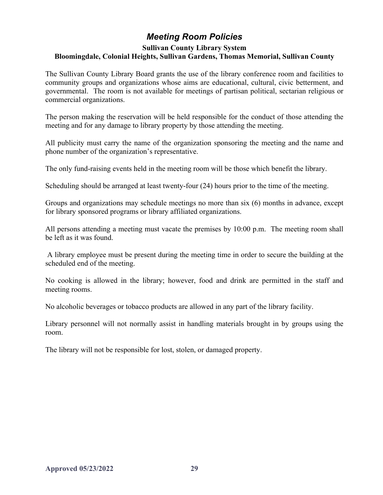## *Meeting Room Policies*

#### **Sullivan County Library System Bloomingdale, Colonial Heights, Sullivan Gardens, Thomas Memorial, Sullivan County**

The Sullivan County Library Board grants the use of the library conference room and facilities to community groups and organizations whose aims are educational, cultural, civic betterment, and governmental. The room is not available for meetings of partisan political, sectarian religious or commercial organizations.

The person making the reservation will be held responsible for the conduct of those attending the meeting and for any damage to library property by those attending the meeting.

All publicity must carry the name of the organization sponsoring the meeting and the name and phone number of the organization's representative.

The only fund-raising events held in the meeting room will be those which benefit the library.

Scheduling should be arranged at least twenty-four (24) hours prior to the time of the meeting.

Groups and organizations may schedule meetings no more than six (6) months in advance, except for library sponsored programs or library affiliated organizations.

All persons attending a meeting must vacate the premises by 10:00 p.m. The meeting room shall be left as it was found.

A library employee must be present during the meeting time in order to secure the building at the scheduled end of the meeting.

No cooking is allowed in the library; however, food and drink are permitted in the staff and meeting rooms.

No alcoholic beverages or tobacco products are allowed in any part of the library facility.

Library personnel will not normally assist in handling materials brought in by groups using the room.

The library will not be responsible for lost, stolen, or damaged property.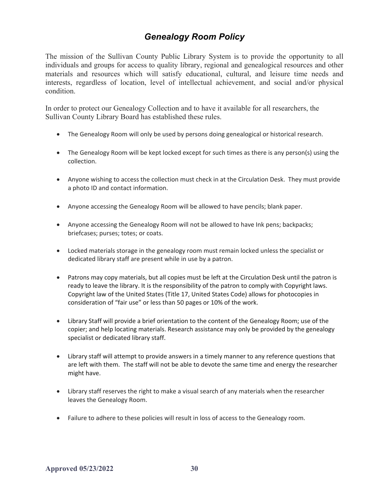# *Genealogy Room Policy*

The mission of the Sullivan County Public Library System is to provide the opportunity to all individuals and groups for access to quality library, regional and genealogical resources and other materials and resources which will satisfy educational, cultural, and leisure time needs and interests, regardless of location, level of intellectual achievement, and social and/or physical condition.

In order to protect our Genealogy Collection and to have it available for all researchers, the Sullivan County Library Board has established these rules.

- The Genealogy Room will only be used by persons doing genealogical or historical research.
- The Genealogy Room will be kept locked except for such times as there is any person(s) using the collection.
- Anyone wishing to access the collection must check in at the Circulation Desk. They must provide a photo ID and contact information.
- Anyone accessing the Genealogy Room will be allowed to have pencils; blank paper.
- Anyone accessing the Genealogy Room will not be allowed to have Ink pens; backpacks; briefcases; purses; totes; or coats.
- Locked materials storage in the genealogy room must remain locked unless the specialist or dedicated library staff are present while in use by a patron.
- Patrons may copy materials, but all copies must be left at the Circulation Desk until the patron is ready to leave the library. It is the responsibility of the patron to comply with Copyright laws. Copyright law of the United States (Title 17, United States Code) allows for photocopies in consideration of "fair use" or less than 50 pages or 10% of the work.
- Library Staff will provide a brief orientation to the content of the Genealogy Room; use of the copier; and help locating materials. Research assistance may only be provided by the genealogy specialist or dedicated library staff.
- Library staff will attempt to provide answers in a timely manner to any reference questions that are left with them. The staff will not be able to devote the same time and energy the researcher might have.
- Library staff reserves the right to make a visual search of any materials when the researcher leaves the Genealogy Room.
- Failure to adhere to these policies will result in loss of access to the Genealogy room.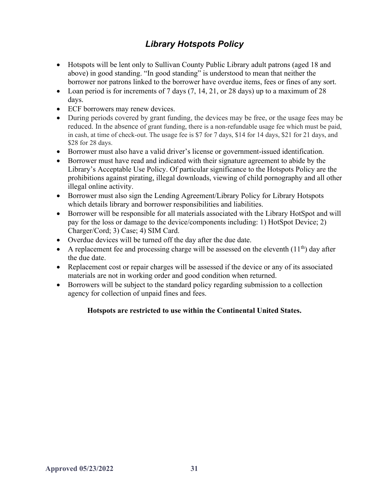# *Library Hotspots Policy*

- Hotspots will be lent only to Sullivan County Public Library adult patrons (aged 18 and above) in good standing. "In good standing" is understood to mean that neither the borrower nor patrons linked to the borrower have overdue items, fees or fines of any sort.
- Loan period is for increments of 7 days (7, 14, 21, or 28 days) up to a maximum of 28 days.
- ECF borrowers may renew devices.
- During periods covered by grant funding, the devices may be free, or the usage fees may be reduced. In the absence of grant funding, there is a non-refundable usage fee which must be paid, in cash, at time of check-out. The usage fee is \$7 for 7 days, \$14 for 14 days, \$21 for 21 days, and \$28 for 28 days.
- Borrower must also have a valid driver's license or government-issued identification.
- Borrower must have read and indicated with their signature agreement to abide by the Library's Acceptable Use Policy. Of particular significance to the Hotspots Policy are the prohibitions against pirating, illegal downloads, viewing of child pornography and all other illegal online activity.
- Borrower must also sign the Lending Agreement/Library Policy for Library Hotspots which details library and borrower responsibilities and liabilities.
- Borrower will be responsible for all materials associated with the Library HotSpot and will pay for the loss or damage to the device/components including: 1) HotSpot Device; 2) Charger/Cord; 3) Case; 4) SIM Card.
- Overdue devices will be turned off the day after the due date.
- A replacement fee and processing charge will be assessed on the eleventh  $(11<sup>th</sup>)$  day after the due date.
- Replacement cost or repair charges will be assessed if the device or any of its associated materials are not in working order and good condition when returned.
- Borrowers will be subject to the standard policy regarding submission to a collection agency for collection of unpaid fines and fees.

#### **Hotspots are restricted to use within the Continental United States.**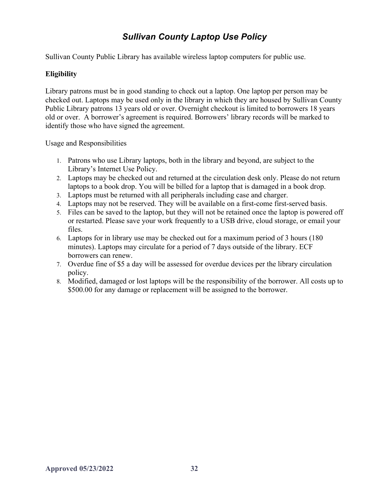# *Sullivan County Laptop Use Policy*

Sullivan County Public Library has available wireless laptop computers for public use.

#### **Eligibility**

Library patrons must be in good standing to check out a laptop. One laptop per person may be checked out. Laptops may be used only in the library in which they are housed by Sullivan County Public Library patrons 13 years old or over. Overnight checkout is limited to borrowers 18 years old or over. A borrower's agreement is required. Borrowers' library records will be marked to identify those who have signed the agreement.

Usage and Responsibilities

- 1. Patrons who use Library laptops, both in the library and beyond, are subject to the Library's Internet Use Policy.
- 2. Laptops may be checked out and returned at the circulation desk only. Please do not return laptops to a book drop. You will be billed for a laptop that is damaged in a book drop.
- 3. Laptops must be returned with all peripherals including case and charger.
- 4. Laptops may not be reserved. They will be available on a first-come first-served basis.
- 5. Files can be saved to the laptop, but they will not be retained once the laptop is powered off or restarted. Please save your work frequently to a USB drive, cloud storage, or email your files.
- 6. Laptops for in library use may be checked out for a maximum period of 3 hours (180 minutes). Laptops may circulate for a period of 7 days outside of the library. ECF borrowers can renew.
- 7. Overdue fine of \$5 a day will be assessed for overdue devices per the library circulation policy.
- 8. Modified, damaged or lost laptops will be the responsibility of the borrower. All costs up to \$500.00 for any damage or replacement will be assigned to the borrower.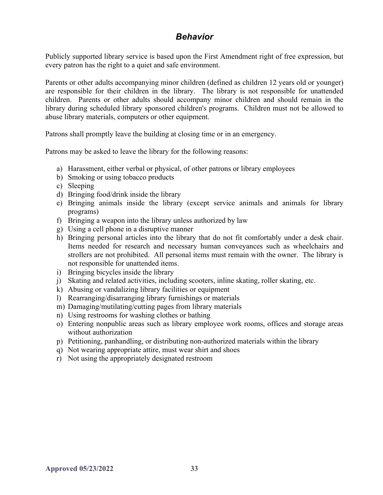## *Behavior*

Publicly supported library service is based upon the First Amendment right of free expression, but every patron has the right to a quiet and safe environment.

Parents or other adults accompanying minor children (defined as children 12 years old or younger) are responsible for their children in the library. The library is not responsible for unattended children. Parents or other adults should accompany minor children and should remain in the library during scheduled library sponsored children's programs. Children must not be allowed to abuse library materials, computers or other equipment.

Patrons shall promptly leave the building at closing time or in an emergency.

Patrons may be asked to leave the library for the following reasons:

- a) Harassment, either verbal or physical, of other patrons or library employees
- b) Smoking or using tobacco products
- c) Sleeping
- d) Bringing food/drink inside the library
- e) Bringing animals inside the library (except service animals and animals for library programs)
- f) Bringing a weapon into the library unless authorized by law
- g) Using a cell phone in a disruptive manner
- h) Bringing personal articles into the library that do not fit comfortably under a desk chair. Items needed for research and necessary human conveyances such as wheelchairs and strollers are not prohibited. All personal items must remain with the owner. The library is not responsible for unattended items.
- i) Bringing bicycles inside the library
- j) Skating and related activities, including scooters, inline skating, roller skating, etc.
- k) Abusing or vandalizing library facilities or equipment
- l) Rearranging/disarranging library furnishings or materials
- m) Damaging/mutilating/cutting pages from library materials
- n) Using restrooms for washing clothes or bathing
- o) Entering nonpublic areas such as library employee work rooms, offices and storage areas without authorization
- p) Petitioning, panhandling, or distributing non-authorized materials within the library
- q) Not wearing appropriate attire, must wear shirt and shoes
- r) Not using the appropriately designated restroom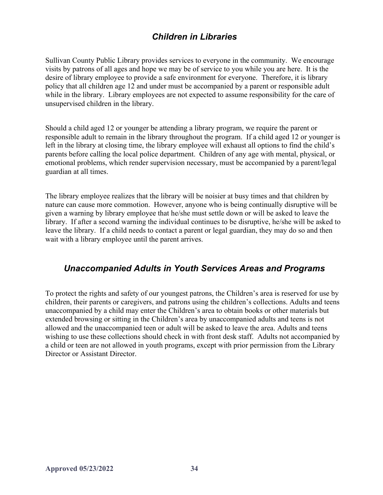# *Children in Libraries*

Sullivan County Public Library provides services to everyone in the community. We encourage visits by patrons of all ages and hope we may be of service to you while you are here. It is the desire of library employee to provide a safe environment for everyone. Therefore, it is library policy that all children age 12 and under must be accompanied by a parent or responsible adult while in the library. Library employees are not expected to assume responsibility for the care of unsupervised children in the library.

Should a child aged 12 or younger be attending a library program, we require the parent or responsible adult to remain in the library throughout the program. If a child aged 12 or younger is left in the library at closing time, the library employee will exhaust all options to find the child's parents before calling the local police department. Children of any age with mental, physical, or emotional problems, which render supervision necessary, must be accompanied by a parent/legal guardian at all times.

The library employee realizes that the library will be noisier at busy times and that children by nature can cause more commotion. However, anyone who is being continually disruptive will be given a warning by library employee that he/she must settle down or will be asked to leave the library. If after a second warning the individual continues to be disruptive, he/she will be asked to leave the library. If a child needs to contact a parent or legal guardian, they may do so and then wait with a library employee until the parent arrives.

#### *Unaccompanied Adults in Youth Services Areas and Programs*

To protect the rights and safety of our youngest patrons, the Children's area is reserved for use by children, their parents or caregivers, and patrons using the children's collections. Adults and teens unaccompanied by a child may enter the Children's area to obtain books or other materials but extended browsing or sitting in the Children's area by unaccompanied adults and teens is not allowed and the unaccompanied teen or adult will be asked to leave the area. Adults and teens wishing to use these collections should check in with front desk staff. Adults not accompanied by a child or teen are not allowed in youth programs, except with prior permission from the Library Director or Assistant Director.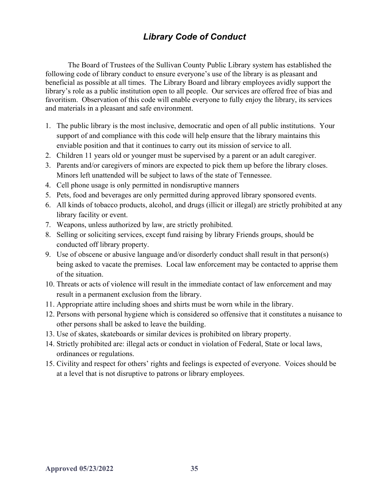### *Library Code of Conduct*

The Board of Trustees of the Sullivan County Public Library system has established the following code of library conduct to ensure everyone's use of the library is as pleasant and beneficial as possible at all times. The Library Board and library employees avidly support the library's role as a public institution open to all people. Our services are offered free of bias and favoritism. Observation of this code will enable everyone to fully enjoy the library, its services and materials in a pleasant and safe environment.

- 1. The public library is the most inclusive, democratic and open of all public institutions. Your support of and compliance with this code will help ensure that the library maintains this enviable position and that it continues to carry out its mission of service to all.
- 2. Children 11 years old or younger must be supervised by a parent or an adult caregiver.
- 3. Parents and/or caregivers of minors are expected to pick them up before the library closes. Minors left unattended will be subject to laws of the state of Tennessee.
- 4. Cell phone usage is only permitted in nondisruptive manners
- 5. Pets, food and beverages are only permitted during approved library sponsored events.
- 6. All kinds of tobacco products, alcohol, and drugs (illicit or illegal) are strictly prohibited at any library facility or event.
- 7. Weapons, unless authorized by law, are strictly prohibited.
- 8. Selling or soliciting services, except fund raising by library Friends groups, should be conducted off library property.
- 9. Use of obscene or abusive language and/or disorderly conduct shall result in that person(s) being asked to vacate the premises. Local law enforcement may be contacted to apprise them of the situation.
- 10. Threats or acts of violence will result in the immediate contact of law enforcement and may result in a permanent exclusion from the library.
- 11. Appropriate attire including shoes and shirts must be worn while in the library.
- 12. Persons with personal hygiene which is considered so offensive that it constitutes a nuisance to other persons shall be asked to leave the building.
- 13. Use of skates, skateboards or similar devices is prohibited on library property.
- 14. Strictly prohibited are: illegal acts or conduct in violation of Federal, State or local laws, ordinances or regulations.
- 15. Civility and respect for others' rights and feelings is expected of everyone. Voices should be at a level that is not disruptive to patrons or library employees.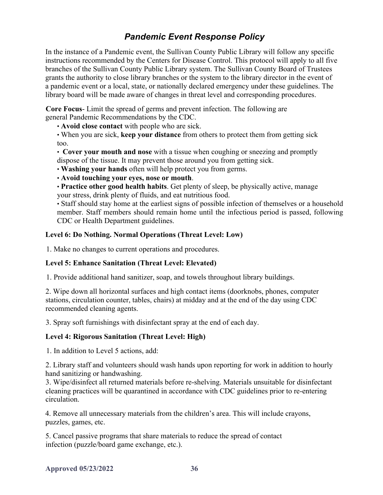### *Pandemic Event Response Policy*

In the instance of a Pandemic event, the Sullivan County Public Library will follow any specific instructions recommended by the Centers for Disease Control. This protocol will apply to all five branches of the Sullivan County Public Library system. The Sullivan County Board of Trustees grants the authority to close library branches or the system to the library director in the event of a pandemic event or a local, state, or nationally declared emergency under these guidelines. The library board will be made aware of changes in threat level and corresponding procedures.

**Core Focus**- Limit the spread of germs and prevent infection. The following are general Pandemic Recommendations by the CDC.

• **Avoid close contact** with people who are sick.

• When you are sick, **keep your distance** from others to protect them from getting sick too.

• **Cover your mouth and nose** with a tissue when coughing or sneezing and promptly dispose of the tissue. It may prevent those around you from getting sick.

• **Washing your hands** often will help protect you from germs.

• **Avoid touching your eyes, nose or mouth**.

• **Practice other good health habits**. Get plenty of sleep, be physically active, manage your stress, drink plenty of fluids, and eat nutritious food.

• Staff should stay home at the earliest signs of possible infection of themselves or a household member. Staff members should remain home until the infectious period is passed, following CDC or Health Department guidelines.

#### **Level 6: Do Nothing. Normal Operations (Threat Level: Low)**

1. Make no changes to current operations and procedures.

#### **Level 5: Enhance Sanitation (Threat Level: Elevated)**

1. Provide additional hand sanitizer, soap, and towels throughout library buildings.

2. Wipe down all horizontal surfaces and high contact items (doorknobs, phones, computer stations, circulation counter, tables, chairs) at midday and at the end of the day using CDC recommended cleaning agents.

3. Spray soft furnishings with disinfectant spray at the end of each day.

#### **Level 4: Rigorous Sanitation (Threat Level: High)**

1. In addition to Level 5 actions, add:

2. Library staff and volunteers should wash hands upon reporting for work in addition to hourly hand sanitizing or handwashing.

3. Wipe/disinfect all returned materials before re-shelving. Materials unsuitable for disinfectant cleaning practices will be quarantined in accordance with CDC guidelines prior to re-entering circulation.

4. Remove all unnecessary materials from the children's area. This will include crayons, puzzles, games, etc.

5. Cancel passive programs that share materials to reduce the spread of contact infection (puzzle/board game exchange, etc.).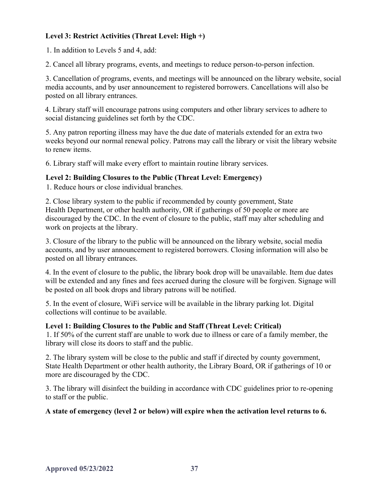#### **Level 3: Restrict Activities (Threat Level: High +)**

1. In addition to Levels 5 and 4, add:

2. Cancel all library programs, events, and meetings to reduce person-to-person infection.

3. Cancellation of programs, events, and meetings will be announced on the library website, social media accounts, and by user announcement to registered borrowers. Cancellations will also be posted on all library entrances.

4. Library staff will encourage patrons using computers and other library services to adhere to social distancing guidelines set forth by the CDC.

5. Any patron reporting illness may have the due date of materials extended for an extra two weeks beyond our normal renewal policy. Patrons may call the library or visit the library website to renew items.

6. Library staff will make every effort to maintain routine library services.

#### **Level 2: Building Closures to the Public (Threat Level: Emergency)**

1. Reduce hours or close individual branches.

2. Close library system to the public if recommended by county government, State Health Department, or other health authority, OR if gatherings of 50 people or more are discouraged by the CDC. In the event of closure to the public, staff may alter scheduling and work on projects at the library.

3. Closure of the library to the public will be announced on the library website, social media accounts, and by user announcement to registered borrowers. Closing information will also be posted on all library entrances.

4. In the event of closure to the public, the library book drop will be unavailable. Item due dates will be extended and any fines and fees accrued during the closure will be forgiven. Signage will be posted on all book drops and library patrons will be notified.

5. In the event of closure, WiFi service will be available in the library parking lot. Digital collections will continue to be available.

#### **Level 1: Building Closures to the Public and Staff (Threat Level: Critical)**

1. If 50% of the current staff are unable to work due to illness or care of a family member, the library will close its doors to staff and the public.

2. The library system will be close to the public and staff if directed by county government, State Health Department or other health authority, the Library Board, OR if gatherings of 10 or more are discouraged by the CDC.

3. The library will disinfect the building in accordance with CDC guidelines prior to re-opening to staff or the public.

#### **A state of emergency (level 2 or below) will expire when the activation level returns to 6.**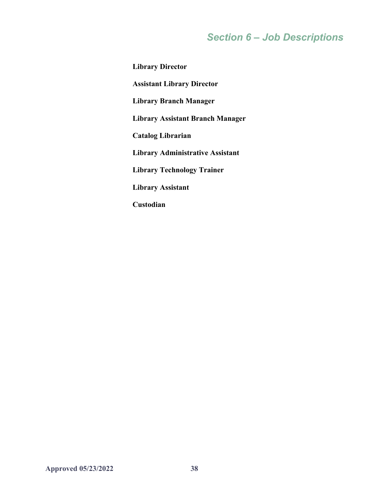## *Section 6 – Job Descriptions*

**Library Director Assistant Library Director Library Branch Manager Library Assistant Branch Manager Catalog Librarian Library Administrative Assistant Library Technology Trainer Library Assistant Custodian**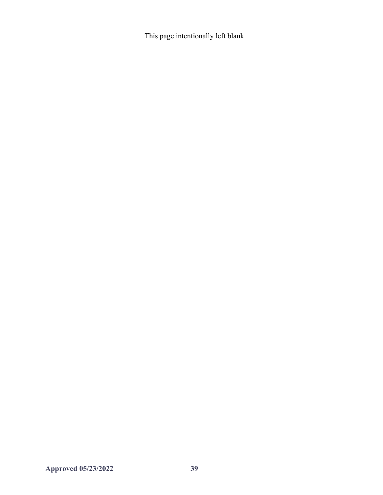This page intentionally left blank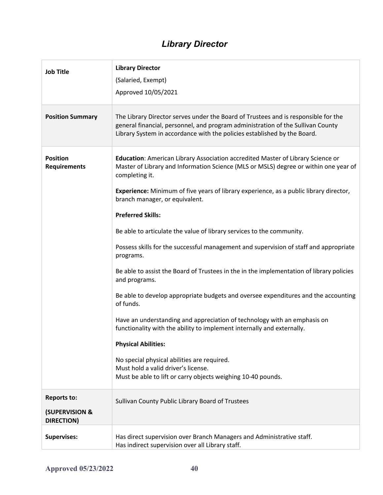## *Library Director*

| <b>Job Title</b>                        | <b>Library Director</b><br>(Salaried, Exempt)<br>Approved 10/05/2021                                                                                                                                                                                                                                                         |
|-----------------------------------------|------------------------------------------------------------------------------------------------------------------------------------------------------------------------------------------------------------------------------------------------------------------------------------------------------------------------------|
| <b>Position Summary</b>                 | The Library Director serves under the Board of Trustees and is responsible for the<br>general financial, personnel, and program administration of the Sullivan County<br>Library System in accordance with the policies established by the Board.                                                                            |
| <b>Position</b><br><b>Requirements</b>  | Education: American Library Association accredited Master of Library Science or<br>Master of Library and Information Science (MLS or MSLS) degree or within one year of<br>completing it.<br><b>Experience:</b> Minimum of five years of library experience, as a public library director,<br>branch manager, or equivalent. |
|                                         | <b>Preferred Skills:</b>                                                                                                                                                                                                                                                                                                     |
|                                         | Be able to articulate the value of library services to the community.                                                                                                                                                                                                                                                        |
|                                         | Possess skills for the successful management and supervision of staff and appropriate<br>programs.                                                                                                                                                                                                                           |
|                                         | Be able to assist the Board of Trustees in the in the implementation of library policies<br>and programs.                                                                                                                                                                                                                    |
|                                         | Be able to develop appropriate budgets and oversee expenditures and the accounting<br>of funds.                                                                                                                                                                                                                              |
|                                         | Have an understanding and appreciation of technology with an emphasis on<br>functionality with the ability to implement internally and externally.                                                                                                                                                                           |
|                                         | <b>Physical Abilities:</b>                                                                                                                                                                                                                                                                                                   |
|                                         | No special physical abilities are required.<br>Must hold a valid driver's license.<br>Must be able to lift or carry objects weighing 10-40 pounds.                                                                                                                                                                           |
| <b>Reports to:</b>                      | Sullivan County Public Library Board of Trustees                                                                                                                                                                                                                                                                             |
| <b>(SUPERVISION &amp;</b><br>DIRECTION) |                                                                                                                                                                                                                                                                                                                              |
| <b>Supervises:</b>                      | Has direct supervision over Branch Managers and Administrative staff.<br>Has indirect supervision over all Library staff.                                                                                                                                                                                                    |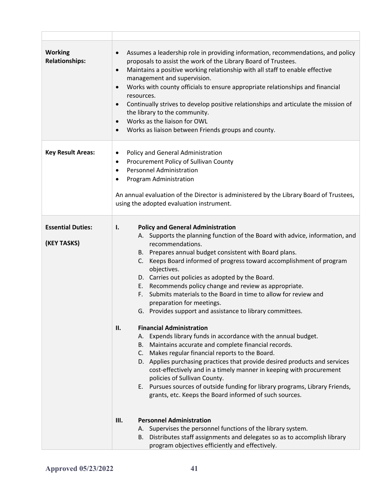| <b>Working</b><br><b>Relationships:</b> | Assumes a leadership role in providing information, recommendations, and policy<br>$\bullet$<br>proposals to assist the work of the Library Board of Trustees.<br>Maintains a positive working relationship with all staff to enable effective<br>$\bullet$<br>management and supervision.<br>Works with county officials to ensure appropriate relationships and financial<br>$\bullet$<br>resources.<br>Continually strives to develop positive relationships and articulate the mission of<br>$\bullet$<br>the library to the community.<br>Works as the liaison for OWL<br>$\bullet$<br>Works as liaison between Friends groups and county.<br>$\bullet$                                                                                                                                                                                                                                                                                                                                                                                                                                                                                                                          |
|-----------------------------------------|---------------------------------------------------------------------------------------------------------------------------------------------------------------------------------------------------------------------------------------------------------------------------------------------------------------------------------------------------------------------------------------------------------------------------------------------------------------------------------------------------------------------------------------------------------------------------------------------------------------------------------------------------------------------------------------------------------------------------------------------------------------------------------------------------------------------------------------------------------------------------------------------------------------------------------------------------------------------------------------------------------------------------------------------------------------------------------------------------------------------------------------------------------------------------------------|
| <b>Key Result Areas:</b>                | Policy and General Administration<br>$\bullet$<br>Procurement Policy of Sullivan County<br>$\bullet$<br><b>Personnel Administration</b><br>٠<br>Program Administration<br>٠<br>An annual evaluation of the Director is administered by the Library Board of Trustees,<br>using the adopted evaluation instrument.                                                                                                                                                                                                                                                                                                                                                                                                                                                                                                                                                                                                                                                                                                                                                                                                                                                                     |
| <b>Essential Duties:</b><br>(KEY TASKS) | <b>Policy and General Administration</b><br>Ι.<br>A. Supports the planning function of the Board with advice, information, and<br>recommendations.<br>B. Prepares annual budget consistent with Board plans.<br>C. Keeps Board informed of progress toward accomplishment of program<br>objectives.<br>D. Carries out policies as adopted by the Board.<br>E. Recommends policy change and review as appropriate.<br>Submits materials to the Board in time to allow for review and<br>F.<br>preparation for meetings.<br>G. Provides support and assistance to library committees.<br><b>Financial Administration</b><br>П.<br>A. Expends library funds in accordance with the annual budget.<br>B. Maintains accurate and complete financial records.<br>C. Makes regular financial reports to the Board.<br>D. Applies purchasing practices that provide desired products and services<br>cost-effectively and in a timely manner in keeping with procurement<br>policies of Sullivan County.<br>E. Pursues sources of outside funding for library programs, Library Friends,<br>grants, etc. Keeps the Board informed of such sources.<br><b>Personnel Administration</b><br>III. |
|                                         | Supervises the personnel functions of the library system.<br>А.<br>B. Distributes staff assignments and delegates so as to accomplish library<br>program objectives efficiently and effectively.                                                                                                                                                                                                                                                                                                                                                                                                                                                                                                                                                                                                                                                                                                                                                                                                                                                                                                                                                                                      |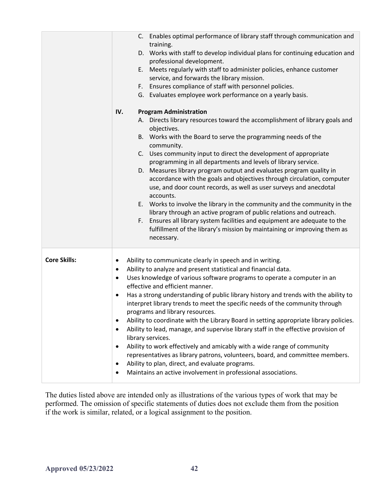|                     |                | C. Enables optimal performance of library staff through communication and<br>training.<br>D. Works with staff to develop individual plans for continuing education and<br>professional development.<br>E. Meets regularly with staff to administer policies, enhance customer<br>service, and forwards the library mission.<br>F. Ensures compliance of staff with personnel policies.<br>G. Evaluates employee work performance on a yearly basis. |
|---------------------|----------------|-----------------------------------------------------------------------------------------------------------------------------------------------------------------------------------------------------------------------------------------------------------------------------------------------------------------------------------------------------------------------------------------------------------------------------------------------------|
|                     | IV.            | <b>Program Administration</b>                                                                                                                                                                                                                                                                                                                                                                                                                       |
|                     |                | A. Directs library resources toward the accomplishment of library goals and<br>objectives.                                                                                                                                                                                                                                                                                                                                                          |
|                     |                | B. Works with the Board to serve the programming needs of the<br>community.                                                                                                                                                                                                                                                                                                                                                                         |
|                     |                | C. Uses community input to direct the development of appropriate<br>programming in all departments and levels of library service.                                                                                                                                                                                                                                                                                                                   |
|                     |                | D. Measures library program output and evaluates program quality in<br>accordance with the goals and objectives through circulation, computer<br>use, and door count records, as well as user surveys and anecdotal<br>accounts.                                                                                                                                                                                                                    |
|                     |                | E. Works to involve the library in the community and the community in the<br>library through an active program of public relations and outreach.<br>F. Ensures all library system facilities and equipment are adequate to the<br>fulfillment of the library's mission by maintaining or improving them as<br>necessary.                                                                                                                            |
| <b>Core Skills:</b> | ٠              | Ability to communicate clearly in speech and in writing.                                                                                                                                                                                                                                                                                                                                                                                            |
|                     | $\bullet$      | Ability to analyze and present statistical and financial data.                                                                                                                                                                                                                                                                                                                                                                                      |
|                     | $\bullet$      | Uses knowledge of various software programs to operate a computer in an<br>effective and efficient manner.                                                                                                                                                                                                                                                                                                                                          |
|                     | $\bullet$      | Has a strong understanding of public library history and trends with the ability to<br>interpret library trends to meet the specific needs of the community through<br>programs and library resources.                                                                                                                                                                                                                                              |
|                     | ٠<br>٠         | Ability to coordinate with the Library Board in setting appropriate library policies.<br>Ability to lead, manage, and supervise library staff in the effective provision of<br>library services.                                                                                                                                                                                                                                                    |
|                     | $\bullet$<br>٠ | Ability to work effectively and amicably with a wide range of community<br>representatives as library patrons, volunteers, board, and committee members.<br>Ability to plan, direct, and evaluate programs.                                                                                                                                                                                                                                         |
|                     | ٠              | Maintains an active involvement in professional associations.                                                                                                                                                                                                                                                                                                                                                                                       |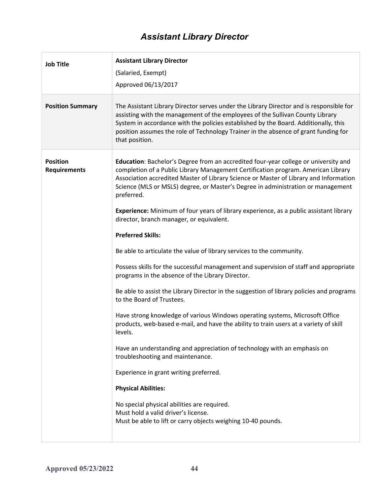## *Assistant Library Director*

| <b>Job Title</b>                       | <b>Assistant Library Director</b>                                                                                                                                                                                                                                                                                                                                        |
|----------------------------------------|--------------------------------------------------------------------------------------------------------------------------------------------------------------------------------------------------------------------------------------------------------------------------------------------------------------------------------------------------------------------------|
|                                        | (Salaried, Exempt)                                                                                                                                                                                                                                                                                                                                                       |
|                                        | Approved 06/13/2017                                                                                                                                                                                                                                                                                                                                                      |
| <b>Position Summary</b>                | The Assistant Library Director serves under the Library Director and is responsible for<br>assisting with the management of the employees of the Sullivan County Library<br>System in accordance with the policies established by the Board. Additionally, this<br>position assumes the role of Technology Trainer in the absence of grant funding for<br>that position. |
| <b>Position</b><br><b>Requirements</b> | Education: Bachelor's Degree from an accredited four-year college or university and<br>completion of a Public Library Management Certification program. American Library<br>Association accredited Master of Library Science or Master of Library and Information<br>Science (MLS or MSLS) degree, or Master's Degree in administration or management<br>preferred.      |
|                                        | Experience: Minimum of four years of library experience, as a public assistant library<br>director, branch manager, or equivalent.                                                                                                                                                                                                                                       |
|                                        | <b>Preferred Skills:</b>                                                                                                                                                                                                                                                                                                                                                 |
|                                        | Be able to articulate the value of library services to the community.                                                                                                                                                                                                                                                                                                    |
|                                        | Possess skills for the successful management and supervision of staff and appropriate<br>programs in the absence of the Library Director.                                                                                                                                                                                                                                |
|                                        | Be able to assist the Library Director in the suggestion of library policies and programs<br>to the Board of Trustees.                                                                                                                                                                                                                                                   |
|                                        | Have strong knowledge of various Windows operating systems, Microsoft Office<br>products, web-based e-mail, and have the ability to train users at a variety of skill<br>levels.                                                                                                                                                                                         |
|                                        | Have an understanding and appreciation of technology with an emphasis on<br>troubleshooting and maintenance.                                                                                                                                                                                                                                                             |
|                                        | Experience in grant writing preferred.                                                                                                                                                                                                                                                                                                                                   |
|                                        | <b>Physical Abilities:</b>                                                                                                                                                                                                                                                                                                                                               |
|                                        | No special physical abilities are required.<br>Must hold a valid driver's license.<br>Must be able to lift or carry objects weighing 10-40 pounds.                                                                                                                                                                                                                       |
|                                        |                                                                                                                                                                                                                                                                                                                                                                          |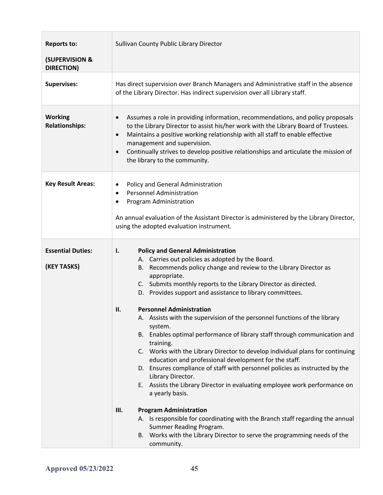| <b>Reports to:</b>                             | Sullivan County Public Library Director                                                                                                                                                                                                                                                                                                                                                                                                                                                                                                                                                                                                                                                                                                                                                                                |
|------------------------------------------------|------------------------------------------------------------------------------------------------------------------------------------------------------------------------------------------------------------------------------------------------------------------------------------------------------------------------------------------------------------------------------------------------------------------------------------------------------------------------------------------------------------------------------------------------------------------------------------------------------------------------------------------------------------------------------------------------------------------------------------------------------------------------------------------------------------------------|
| <b>(SUPERVISION &amp;</b><br><b>DIRECTION)</b> |                                                                                                                                                                                                                                                                                                                                                                                                                                                                                                                                                                                                                                                                                                                                                                                                                        |
| <b>Supervises:</b>                             | Has direct supervision over Branch Managers and Administrative staff in the absence<br>of the Library Director. Has indirect supervision over all Library staff.                                                                                                                                                                                                                                                                                                                                                                                                                                                                                                                                                                                                                                                       |
| <b>Working</b><br><b>Relationships:</b>        | Assumes a role in providing information, recommendations, and policy proposals<br>$\bullet$<br>to the Library Director to assist his/her work with the Library Board of Trustees.<br>Maintains a positive working relationship with all staff to enable effective<br>$\bullet$<br>management and supervision.<br>Continually strives to develop positive relationships and articulate the mission of<br>$\bullet$<br>the library to the community.                                                                                                                                                                                                                                                                                                                                                                     |
| <b>Key Result Areas:</b>                       | <b>Policy and General Administration</b><br>$\bullet$<br><b>Personnel Administration</b><br>$\bullet$<br>Program Administration<br>٠<br>An annual evaluation of the Assistant Director is administered by the Library Director,<br>using the adopted evaluation instrument.                                                                                                                                                                                                                                                                                                                                                                                                                                                                                                                                            |
| <b>Essential Duties:</b>                       | <b>Policy and General Administration</b><br>$\mathbf{I}$ .                                                                                                                                                                                                                                                                                                                                                                                                                                                                                                                                                                                                                                                                                                                                                             |
| (KEY TASKS)                                    | A. Carries out policies as adopted by the Board.<br>B. Recommends policy change and review to the Library Director as<br>appropriate.<br>C. Submits monthly reports to the Library Director as directed.<br>D. Provides support and assistance to library committees.                                                                                                                                                                                                                                                                                                                                                                                                                                                                                                                                                  |
|                                                | <b>Personnel Administration</b><br>II.<br>A. Assists with the supervision of the personnel functions of the library<br>system.<br>B. Enables optimal performance of library staff through communication and<br>training.<br>C. Works with the Library Director to develop individual plans for continuing<br>education and professional development for the staff.<br>D. Ensures compliance of staff with personnel policies as instructed by the<br>Library Director.<br>E. Assists the Library Director in evaluating employee work performance on<br>a yearly basis.<br>III.<br><b>Program Administration</b><br>A. Is responsible for coordinating with the Branch staff regarding the annual<br>Summer Reading Program.<br>B. Works with the Library Director to serve the programming needs of the<br>community. |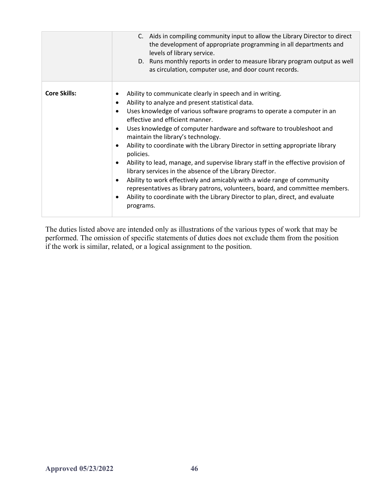|                     | C. Aids in compiling community input to allow the Library Director to direct<br>the development of appropriate programming in all departments and<br>levels of library service.<br>D. Runs monthly reports in order to measure library program output as well<br>as circulation, computer use, and door count records.                                                                                                                                                                                                                                                                                                                                                                                                                                                                                                                                                                                                                              |
|---------------------|-----------------------------------------------------------------------------------------------------------------------------------------------------------------------------------------------------------------------------------------------------------------------------------------------------------------------------------------------------------------------------------------------------------------------------------------------------------------------------------------------------------------------------------------------------------------------------------------------------------------------------------------------------------------------------------------------------------------------------------------------------------------------------------------------------------------------------------------------------------------------------------------------------------------------------------------------------|
| <b>Core Skills:</b> | Ability to communicate clearly in speech and in writing.<br>٠<br>Ability to analyze and present statistical data.<br>$\bullet$<br>Uses knowledge of various software programs to operate a computer in an<br>$\bullet$<br>effective and efficient manner.<br>Uses knowledge of computer hardware and software to troubleshoot and<br>$\bullet$<br>maintain the library's technology.<br>Ability to coordinate with the Library Director in setting appropriate library<br>$\bullet$<br>policies.<br>Ability to lead, manage, and supervise library staff in the effective provision of<br>$\bullet$<br>library services in the absence of the Library Director.<br>Ability to work effectively and amicably with a wide range of community<br>$\bullet$<br>representatives as library patrons, volunteers, board, and committee members.<br>Ability to coordinate with the Library Director to plan, direct, and evaluate<br>$\bullet$<br>programs. |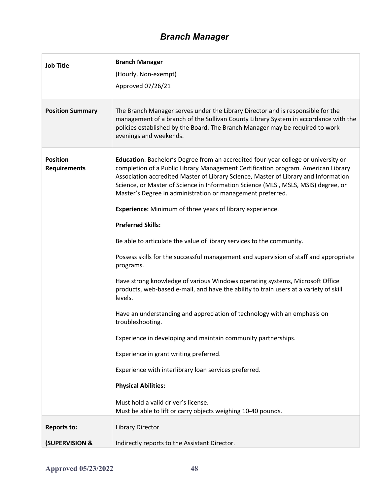### *Branch Manager*

| <b>Job Title</b>                       | <b>Branch Manager</b>                                                                                                                                                                                                                                                                                                                                                                                             |
|----------------------------------------|-------------------------------------------------------------------------------------------------------------------------------------------------------------------------------------------------------------------------------------------------------------------------------------------------------------------------------------------------------------------------------------------------------------------|
|                                        | (Hourly, Non-exempt)                                                                                                                                                                                                                                                                                                                                                                                              |
|                                        | Approved 07/26/21                                                                                                                                                                                                                                                                                                                                                                                                 |
| <b>Position Summary</b>                | The Branch Manager serves under the Library Director and is responsible for the<br>management of a branch of the Sullivan County Library System in accordance with the<br>policies established by the Board. The Branch Manager may be required to work<br>evenings and weekends.                                                                                                                                 |
| <b>Position</b><br><b>Requirements</b> | Education: Bachelor's Degree from an accredited four-year college or university or<br>completion of a Public Library Management Certification program. American Library<br>Association accredited Master of Library Science, Master of Library and Information<br>Science, or Master of Science in Information Science (MLS, MSLS, MSIS) degree, or<br>Master's Degree in administration or management preferred. |
|                                        | <b>Experience:</b> Minimum of three years of library experience.                                                                                                                                                                                                                                                                                                                                                  |
|                                        | <b>Preferred Skills:</b>                                                                                                                                                                                                                                                                                                                                                                                          |
|                                        | Be able to articulate the value of library services to the community.                                                                                                                                                                                                                                                                                                                                             |
|                                        | Possess skills for the successful management and supervision of staff and appropriate<br>programs.                                                                                                                                                                                                                                                                                                                |
|                                        | Have strong knowledge of various Windows operating systems, Microsoft Office<br>products, web-based e-mail, and have the ability to train users at a variety of skill<br>levels.                                                                                                                                                                                                                                  |
|                                        | Have an understanding and appreciation of technology with an emphasis on<br>troubleshooting.                                                                                                                                                                                                                                                                                                                      |
|                                        | Experience in developing and maintain community partnerships.                                                                                                                                                                                                                                                                                                                                                     |
|                                        | Experience in grant writing preferred.                                                                                                                                                                                                                                                                                                                                                                            |
|                                        | Experience with interlibrary loan services preferred.                                                                                                                                                                                                                                                                                                                                                             |
|                                        | <b>Physical Abilities:</b>                                                                                                                                                                                                                                                                                                                                                                                        |
|                                        | Must hold a valid driver's license.<br>Must be able to lift or carry objects weighing 10-40 pounds.                                                                                                                                                                                                                                                                                                               |
| <b>Reports to:</b>                     | Library Director                                                                                                                                                                                                                                                                                                                                                                                                  |
| <b>(SUPERVISION &amp;</b>              | Indirectly reports to the Assistant Director.                                                                                                                                                                                                                                                                                                                                                                     |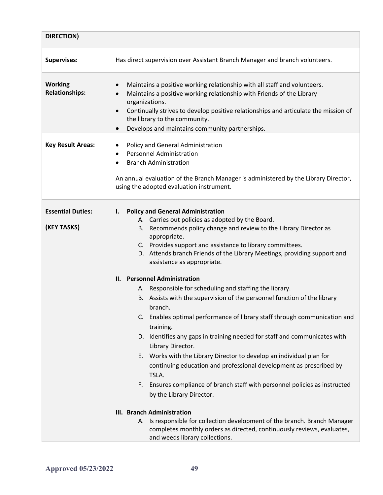| DIRECTION)                              |                                                                                                                                                                                                                                                                                                                                                                                                                                                                                                                                                                                                                                                                                                                                                                                                                                                                                                                                                                                                                                              |
|-----------------------------------------|----------------------------------------------------------------------------------------------------------------------------------------------------------------------------------------------------------------------------------------------------------------------------------------------------------------------------------------------------------------------------------------------------------------------------------------------------------------------------------------------------------------------------------------------------------------------------------------------------------------------------------------------------------------------------------------------------------------------------------------------------------------------------------------------------------------------------------------------------------------------------------------------------------------------------------------------------------------------------------------------------------------------------------------------|
| <b>Supervises:</b>                      | Has direct supervision over Assistant Branch Manager and branch volunteers.                                                                                                                                                                                                                                                                                                                                                                                                                                                                                                                                                                                                                                                                                                                                                                                                                                                                                                                                                                  |
| <b>Working</b><br><b>Relationships:</b> | Maintains a positive working relationship with all staff and volunteers.<br>$\bullet$<br>Maintains a positive working relationship with Friends of the Library<br>$\bullet$<br>organizations.<br>Continually strives to develop positive relationships and articulate the mission of<br>$\bullet$<br>the library to the community.<br>Develops and maintains community partnerships.<br>$\bullet$                                                                                                                                                                                                                                                                                                                                                                                                                                                                                                                                                                                                                                            |
| <b>Key Result Areas:</b>                | Policy and General Administration<br>$\bullet$<br><b>Personnel Administration</b><br>$\bullet$<br><b>Branch Administration</b><br>$\bullet$<br>An annual evaluation of the Branch Manager is administered by the Library Director,<br>using the adopted evaluation instrument.                                                                                                                                                                                                                                                                                                                                                                                                                                                                                                                                                                                                                                                                                                                                                               |
| <b>Essential Duties:</b><br>(KEY TASKS) | <b>Policy and General Administration</b><br>ı.<br>A. Carries out policies as adopted by the Board.<br>B. Recommends policy change and review to the Library Director as<br>appropriate.<br>C. Provides support and assistance to library committees.<br>D. Attends branch Friends of the Library Meetings, providing support and<br>assistance as appropriate.<br>II. Personnel Administration<br>A. Responsible for scheduling and staffing the library.<br>B. Assists with the supervision of the personnel function of the library<br>branch.<br>C. Enables optimal performance of library staff through communication and<br>training.<br>D. Identifies any gaps in training needed for staff and communicates with<br>Library Director.<br>E. Works with the Library Director to develop an individual plan for<br>continuing education and professional development as prescribed by<br>TSLA.<br>F. Ensures compliance of branch staff with personnel policies as instructed<br>by the Library Director.<br>III. Branch Administration |
|                                         | A. Is responsible for collection development of the branch. Branch Manager<br>completes monthly orders as directed, continuously reviews, evaluates,<br>and weeds library collections.                                                                                                                                                                                                                                                                                                                                                                                                                                                                                                                                                                                                                                                                                                                                                                                                                                                       |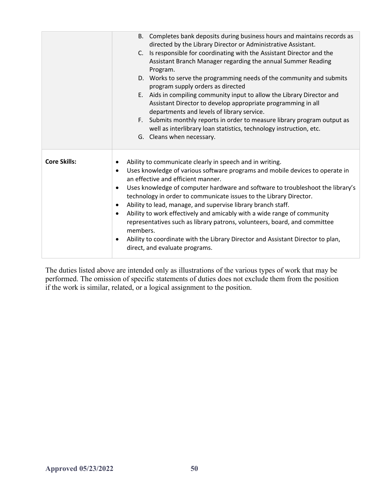|                     | B. Completes bank deposits during business hours and maintains records as<br>directed by the Library Director or Administrative Assistant.<br>C. Is responsible for coordinating with the Assistant Director and the<br>Assistant Branch Manager regarding the annual Summer Reading<br>Program.<br>D. Works to serve the programming needs of the community and submits<br>program supply orders as directed<br>E. Aids in compiling community input to allow the Library Director and<br>Assistant Director to develop appropriate programming in all<br>departments and levels of library service.<br>F. Submits monthly reports in order to measure library program output as<br>well as interlibrary loan statistics, technology instruction, etc.<br>G. Cleans when necessary. |
|---------------------|--------------------------------------------------------------------------------------------------------------------------------------------------------------------------------------------------------------------------------------------------------------------------------------------------------------------------------------------------------------------------------------------------------------------------------------------------------------------------------------------------------------------------------------------------------------------------------------------------------------------------------------------------------------------------------------------------------------------------------------------------------------------------------------|
| <b>Core Skills:</b> | Ability to communicate clearly in speech and in writing.<br>٠<br>Uses knowledge of various software programs and mobile devices to operate in<br>$\bullet$<br>an effective and efficient manner.<br>Uses knowledge of computer hardware and software to troubleshoot the library's<br>٠<br>technology in order to communicate issues to the Library Director.<br>Ability to lead, manage, and supervise library branch staff.<br>$\bullet$<br>Ability to work effectively and amicably with a wide range of community<br>$\bullet$<br>representatives such as library patrons, volunteers, board, and committee<br>members.<br>Ability to coordinate with the Library Director and Assistant Director to plan,<br>٠<br>direct, and evaluate programs.                                |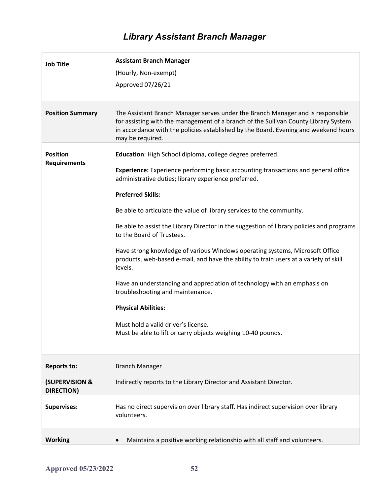## *Library Assistant Branch Manager*

| <b>Job Title</b>                               | <b>Assistant Branch Manager</b><br>(Hourly, Non-exempt)                                                                                                                                                                                                                           |
|------------------------------------------------|-----------------------------------------------------------------------------------------------------------------------------------------------------------------------------------------------------------------------------------------------------------------------------------|
|                                                | Approved 07/26/21                                                                                                                                                                                                                                                                 |
| <b>Position Summary</b>                        | The Assistant Branch Manager serves under the Branch Manager and is responsible<br>for assisting with the management of a branch of the Sullivan County Library System<br>in accordance with the policies established by the Board. Evening and weekend hours<br>may be required. |
| <b>Position</b><br><b>Requirements</b>         | Education: High School diploma, college degree preferred.<br><b>Experience:</b> Experience performing basic accounting transactions and general office                                                                                                                            |
|                                                | administrative duties; library experience preferred.                                                                                                                                                                                                                              |
|                                                | <b>Preferred Skills:</b>                                                                                                                                                                                                                                                          |
|                                                | Be able to articulate the value of library services to the community.                                                                                                                                                                                                             |
|                                                | Be able to assist the Library Director in the suggestion of library policies and programs<br>to the Board of Trustees.                                                                                                                                                            |
|                                                | Have strong knowledge of various Windows operating systems, Microsoft Office<br>products, web-based e-mail, and have the ability to train users at a variety of skill<br>levels.                                                                                                  |
|                                                | Have an understanding and appreciation of technology with an emphasis on<br>troubleshooting and maintenance.                                                                                                                                                                      |
|                                                | <b>Physical Abilities:</b>                                                                                                                                                                                                                                                        |
|                                                | Must hold a valid driver's license.<br>Must be able to lift or carry objects weighing 10-40 pounds.                                                                                                                                                                               |
| <b>Reports to:</b>                             | <b>Branch Manager</b>                                                                                                                                                                                                                                                             |
| <b>(SUPERVISION &amp;</b><br><b>DIRECTION)</b> | Indirectly reports to the Library Director and Assistant Director.                                                                                                                                                                                                                |
| <b>Supervises:</b>                             | Has no direct supervision over library staff. Has indirect supervision over library<br>volunteers.                                                                                                                                                                                |
| <b>Working</b>                                 | Maintains a positive working relationship with all staff and volunteers.<br>$\bullet$                                                                                                                                                                                             |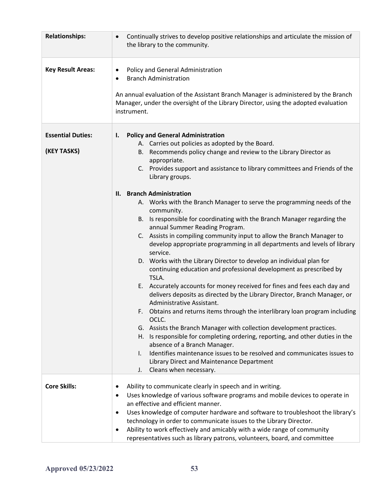| <b>Relationships:</b>                   | Continually strives to develop positive relationships and articulate the mission of<br>the library to the community.                                                                                                                                                                                                                                                                                                                                                                                                                                                                                                                                                                                                                                                                                                                                                                                                                                                                                                                                                                                                                                               |
|-----------------------------------------|--------------------------------------------------------------------------------------------------------------------------------------------------------------------------------------------------------------------------------------------------------------------------------------------------------------------------------------------------------------------------------------------------------------------------------------------------------------------------------------------------------------------------------------------------------------------------------------------------------------------------------------------------------------------------------------------------------------------------------------------------------------------------------------------------------------------------------------------------------------------------------------------------------------------------------------------------------------------------------------------------------------------------------------------------------------------------------------------------------------------------------------------------------------------|
| <b>Key Result Areas:</b>                | Policy and General Administration<br><b>Branch Administration</b><br>An annual evaluation of the Assistant Branch Manager is administered by the Branch<br>Manager, under the oversight of the Library Director, using the adopted evaluation<br>instrument.                                                                                                                                                                                                                                                                                                                                                                                                                                                                                                                                                                                                                                                                                                                                                                                                                                                                                                       |
| <b>Essential Duties:</b><br>(KEY TASKS) | <b>Policy and General Administration</b><br>ı.<br>A. Carries out policies as adopted by the Board.<br>B. Recommends policy change and review to the Library Director as<br>appropriate.<br>C. Provides support and assistance to library committees and Friends of the<br>Library groups.<br>II. Branch Administration                                                                                                                                                                                                                                                                                                                                                                                                                                                                                                                                                                                                                                                                                                                                                                                                                                             |
|                                         | A. Works with the Branch Manager to serve the programming needs of the<br>community.<br>B. Is responsible for coordinating with the Branch Manager regarding the<br>annual Summer Reading Program.<br>C. Assists in compiling community input to allow the Branch Manager to<br>develop appropriate programming in all departments and levels of library<br>service.<br>D. Works with the Library Director to develop an individual plan for<br>continuing education and professional development as prescribed by<br>TSLA.<br>E. Accurately accounts for money received for fines and fees each day and<br>delivers deposits as directed by the Library Director, Branch Manager, or<br>Administrative Assistant.<br>F. Obtains and returns items through the interlibrary loan program including<br>OCLC.<br>G. Assists the Branch Manager with collection development practices.<br>H. Is responsible for completing ordering, reporting, and other duties in the<br>absence of a Branch Manager.<br>Identifies maintenance issues to be resolved and communicates issues to<br>I.<br>Library Direct and Maintenance Department<br>Cleans when necessary.<br>J. |
| <b>Core Skills:</b>                     | Ability to communicate clearly in speech and in writing.<br>$\bullet$<br>Uses knowledge of various software programs and mobile devices to operate in<br>٠<br>an effective and efficient manner.<br>Uses knowledge of computer hardware and software to troubleshoot the library's<br>٠<br>technology in order to communicate issues to the Library Director.<br>Ability to work effectively and amicably with a wide range of community<br>$\bullet$<br>representatives such as library patrons, volunteers, board, and committee                                                                                                                                                                                                                                                                                                                                                                                                                                                                                                                                                                                                                                 |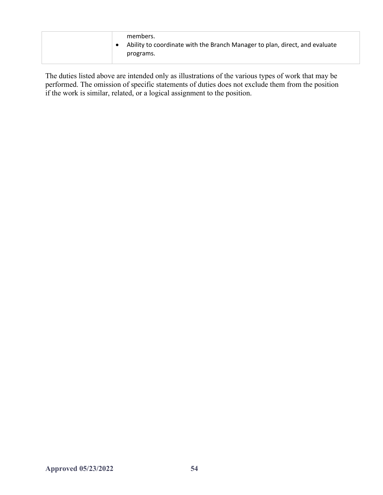| members.<br>Ability to coordinate with the Branch Manager to plan, direct, and evaluate<br>programs. |
|------------------------------------------------------------------------------------------------------|
|------------------------------------------------------------------------------------------------------|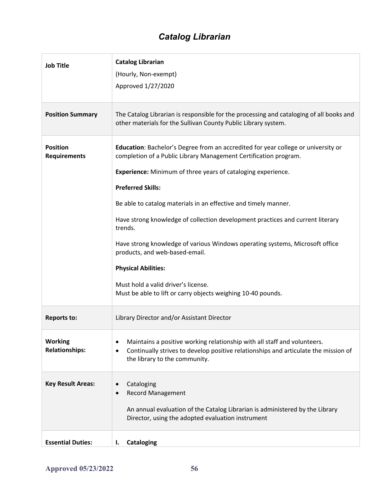## *Catalog Librarian*

| <b>Job Title</b>                        | <b>Catalog Librarian</b><br>(Hourly, Non-exempt)<br>Approved 1/27/2020                                                                                                                                                                                                                                                                                                                                                                                                                                                                                                                                                                                                          |  |  |
|-----------------------------------------|---------------------------------------------------------------------------------------------------------------------------------------------------------------------------------------------------------------------------------------------------------------------------------------------------------------------------------------------------------------------------------------------------------------------------------------------------------------------------------------------------------------------------------------------------------------------------------------------------------------------------------------------------------------------------------|--|--|
| <b>Position Summary</b>                 | The Catalog Librarian is responsible for the processing and cataloging of all books and<br>other materials for the Sullivan County Public Library system.                                                                                                                                                                                                                                                                                                                                                                                                                                                                                                                       |  |  |
| <b>Position</b><br><b>Requirements</b>  | Education: Bachelor's Degree from an accredited for year college or university or<br>completion of a Public Library Management Certification program.<br><b>Experience:</b> Minimum of three years of cataloging experience.<br><b>Preferred Skills:</b><br>Be able to catalog materials in an effective and timely manner.<br>Have strong knowledge of collection development practices and current literary<br>trends.<br>Have strong knowledge of various Windows operating systems, Microsoft office<br>products, and web-based-email.<br><b>Physical Abilities:</b><br>Must hold a valid driver's license.<br>Must be able to lift or carry objects weighing 10-40 pounds. |  |  |
| <b>Reports to:</b>                      | Library Director and/or Assistant Director                                                                                                                                                                                                                                                                                                                                                                                                                                                                                                                                                                                                                                      |  |  |
| <b>Working</b><br><b>Relationships:</b> | Maintains a positive working relationship with all staff and volunteers.<br>٠<br>Continually strives to develop positive relationships and articulate the mission of<br>$\bullet$<br>the library to the community.                                                                                                                                                                                                                                                                                                                                                                                                                                                              |  |  |
| <b>Key Result Areas:</b>                | Cataloging<br>$\bullet$<br><b>Record Management</b><br>$\bullet$<br>An annual evaluation of the Catalog Librarian is administered by the Library<br>Director, using the adopted evaluation instrument                                                                                                                                                                                                                                                                                                                                                                                                                                                                           |  |  |
| <b>Essential Duties:</b>                | <b>Cataloging</b><br>ı.                                                                                                                                                                                                                                                                                                                                                                                                                                                                                                                                                                                                                                                         |  |  |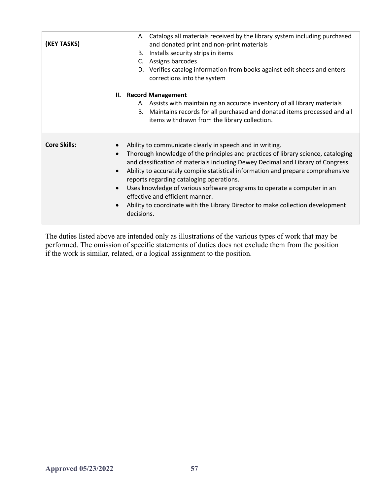| (KEY TASKS)         | A. Catalogs all materials received by the library system including purchased<br>and donated print and non-print materials<br>B. Installs security strips in items<br>C. Assigns barcodes<br>D. Verifies catalog information from books against edit sheets and enters<br>corrections into the system<br>II. Record Management<br>A. Assists with maintaining an accurate inventory of all library materials<br>B. Maintains records for all purchased and donated items processed and all<br>items withdrawn from the library collection.                                                                                                       |
|---------------------|-------------------------------------------------------------------------------------------------------------------------------------------------------------------------------------------------------------------------------------------------------------------------------------------------------------------------------------------------------------------------------------------------------------------------------------------------------------------------------------------------------------------------------------------------------------------------------------------------------------------------------------------------|
| <b>Core Skills:</b> | Ability to communicate clearly in speech and in writing.<br>$\bullet$<br>Thorough knowledge of the principles and practices of library science, cataloging<br>$\bullet$<br>and classification of materials including Dewey Decimal and Library of Congress.<br>Ability to accurately compile statistical information and prepare comprehensive<br>$\bullet$<br>reports regarding cataloging operations.<br>Uses knowledge of various software programs to operate a computer in an<br>$\bullet$<br>effective and efficient manner.<br>Ability to coordinate with the Library Director to make collection development<br>$\bullet$<br>decisions. |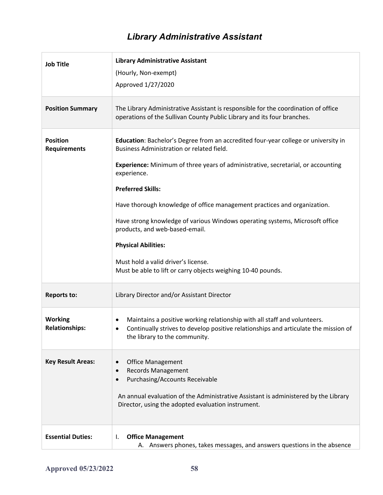## *Library Administrative Assistant*

| <b>Job Title</b>                        | <b>Library Administrative Assistant</b>                                                                                                                                                                            |  |  |  |
|-----------------------------------------|--------------------------------------------------------------------------------------------------------------------------------------------------------------------------------------------------------------------|--|--|--|
|                                         | (Hourly, Non-exempt)                                                                                                                                                                                               |  |  |  |
|                                         | Approved 1/27/2020                                                                                                                                                                                                 |  |  |  |
| <b>Position Summary</b>                 | The Library Administrative Assistant is responsible for the coordination of office<br>operations of the Sullivan County Public Library and its four branches.                                                      |  |  |  |
| <b>Position</b><br><b>Requirements</b>  | Education: Bachelor's Degree from an accredited four-year college or university in<br>Business Administration or related field.                                                                                    |  |  |  |
|                                         | <b>Experience:</b> Minimum of three years of administrative, secretarial, or accounting<br>experience.                                                                                                             |  |  |  |
|                                         | <b>Preferred Skills:</b>                                                                                                                                                                                           |  |  |  |
|                                         | Have thorough knowledge of office management practices and organization.                                                                                                                                           |  |  |  |
|                                         | Have strong knowledge of various Windows operating systems, Microsoft office<br>products, and web-based-email.                                                                                                     |  |  |  |
|                                         | <b>Physical Abilities:</b>                                                                                                                                                                                         |  |  |  |
|                                         | Must hold a valid driver's license.<br>Must be able to lift or carry objects weighing 10-40 pounds.                                                                                                                |  |  |  |
| <b>Reports to:</b>                      | Library Director and/or Assistant Director                                                                                                                                                                         |  |  |  |
| <b>Working</b><br><b>Relationships:</b> | Maintains a positive working relationship with all staff and volunteers.<br>٠<br>Continually strives to develop positive relationships and articulate the mission of<br>$\bullet$<br>the library to the community. |  |  |  |
| <b>Key Result Areas:</b>                | <b>Office Management</b><br>$\bullet$<br><b>Records Management</b><br>$\bullet$<br><b>Purchasing/Accounts Receivable</b><br>$\bullet$                                                                              |  |  |  |
|                                         | An annual evaluation of the Administrative Assistant is administered by the Library<br>Director, using the adopted evaluation instrument.                                                                          |  |  |  |
| <b>Essential Duties:</b>                | <b>Office Management</b><br>Ι.<br>A. Answers phones, takes messages, and answers questions in the absence                                                                                                          |  |  |  |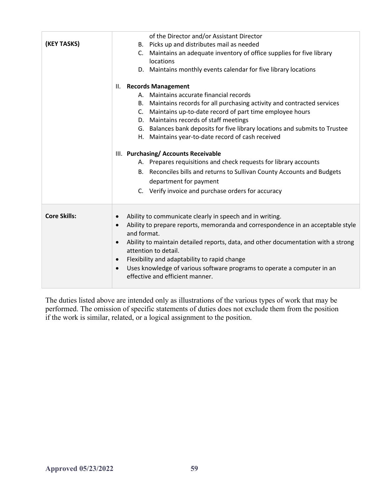| (KEY TASKS)         | of the Director and/or Assistant Director<br>B. Picks up and distributes mail as needed<br>C. Maintains an adequate inventory of office supplies for five library<br>locations<br>D. Maintains monthly events calendar for five library locations |  |  |  |
|---------------------|---------------------------------------------------------------------------------------------------------------------------------------------------------------------------------------------------------------------------------------------------|--|--|--|
|                     | II. Records Management                                                                                                                                                                                                                            |  |  |  |
|                     | A. Maintains accurate financial records                                                                                                                                                                                                           |  |  |  |
|                     | B. Maintains records for all purchasing activity and contracted services                                                                                                                                                                          |  |  |  |
|                     | C. Maintains up-to-date record of part time employee hours                                                                                                                                                                                        |  |  |  |
|                     | D. Maintains records of staff meetings                                                                                                                                                                                                            |  |  |  |
|                     | G. Balances bank deposits for five library locations and submits to Trustee                                                                                                                                                                       |  |  |  |
|                     | H. Maintains year-to-date record of cash received                                                                                                                                                                                                 |  |  |  |
|                     | III. Purchasing/ Accounts Receivable                                                                                                                                                                                                              |  |  |  |
|                     | A. Prepares requisitions and check requests for library accounts                                                                                                                                                                                  |  |  |  |
|                     | B. Reconciles bills and returns to Sullivan County Accounts and Budgets                                                                                                                                                                           |  |  |  |
|                     | department for payment                                                                                                                                                                                                                            |  |  |  |
|                     | C. Verify invoice and purchase orders for accuracy                                                                                                                                                                                                |  |  |  |
| <b>Core Skills:</b> | Ability to communicate clearly in speech and in writing.<br>$\bullet$                                                                                                                                                                             |  |  |  |
|                     | Ability to prepare reports, memoranda and correspondence in an acceptable style<br>$\bullet$<br>and format.<br>Ability to maintain detailed reports, data, and other documentation with a strong<br>$\bullet$                                     |  |  |  |
|                     | attention to detail.                                                                                                                                                                                                                              |  |  |  |
|                     | Flexibility and adaptability to rapid change<br>$\bullet$                                                                                                                                                                                         |  |  |  |
|                     | Uses knowledge of various software programs to operate a computer in an<br>$\bullet$<br>effective and efficient manner.                                                                                                                           |  |  |  |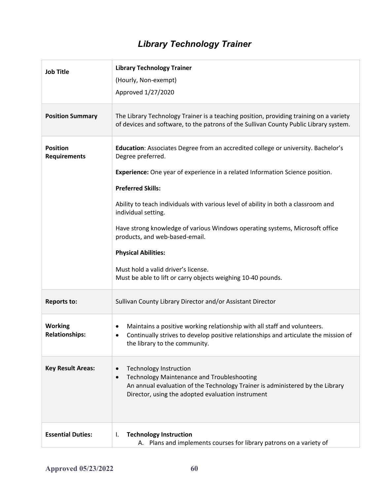# *Library Technology Trainer*

| <b>Job Title</b>                        | <b>Library Technology Trainer</b><br>(Hourly, Non-exempt)                                                                                                                                                                                          |  |  |  |
|-----------------------------------------|----------------------------------------------------------------------------------------------------------------------------------------------------------------------------------------------------------------------------------------------------|--|--|--|
|                                         | Approved 1/27/2020                                                                                                                                                                                                                                 |  |  |  |
| <b>Position Summary</b>                 | The Library Technology Trainer is a teaching position, providing training on a variety<br>of devices and software, to the patrons of the Sullivan County Public Library system.                                                                    |  |  |  |
| <b>Position</b><br><b>Requirements</b>  | Education: Associates Degree from an accredited college or university. Bachelor's<br>Degree preferred.                                                                                                                                             |  |  |  |
|                                         | <b>Experience:</b> One year of experience in a related Information Science position.                                                                                                                                                               |  |  |  |
|                                         | <b>Preferred Skills:</b>                                                                                                                                                                                                                           |  |  |  |
|                                         | Ability to teach individuals with various level of ability in both a classroom and<br>individual setting.                                                                                                                                          |  |  |  |
|                                         | Have strong knowledge of various Windows operating systems, Microsoft office<br>products, and web-based-email.                                                                                                                                     |  |  |  |
|                                         | <b>Physical Abilities:</b>                                                                                                                                                                                                                         |  |  |  |
|                                         | Must hold a valid driver's license.<br>Must be able to lift or carry objects weighing 10-40 pounds.                                                                                                                                                |  |  |  |
| <b>Reports to:</b>                      | Sullivan County Library Director and/or Assistant Director                                                                                                                                                                                         |  |  |  |
| <b>Working</b><br><b>Relationships:</b> | Maintains a positive working relationship with all staff and volunteers.<br>٠<br>Continually strives to develop positive relationships and articulate the mission of<br>٠<br>the library to the community.                                         |  |  |  |
| <b>Key Result Areas:</b>                | <b>Technology Instruction</b><br>$\bullet$<br><b>Technology Maintenance and Troubleshooting</b><br>$\bullet$<br>An annual evaluation of the Technology Trainer is administered by the Library<br>Director, using the adopted evaluation instrument |  |  |  |
| <b>Essential Duties:</b>                | <b>Technology Instruction</b><br>Ι.<br>A. Plans and implements courses for library patrons on a variety of                                                                                                                                         |  |  |  |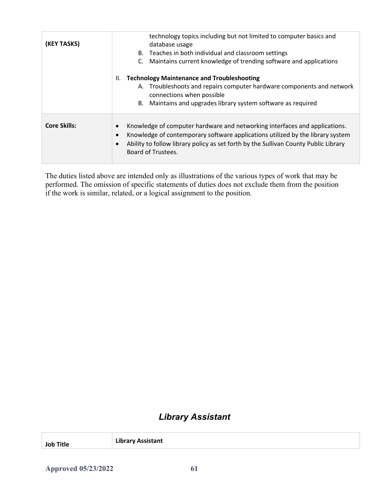| (KEY TASKS)         | technology topics including but not limited to computer basics and<br>database usage<br>B. Teaches in both individual and classroom settings<br>C. Maintains current knowledge of trending software and applications                                                      |
|---------------------|---------------------------------------------------------------------------------------------------------------------------------------------------------------------------------------------------------------------------------------------------------------------------|
|                     | <b>Technology Maintenance and Troubleshooting</b><br>Ш.<br>A. Troubleshoots and repairs computer hardware components and network<br>connections when possible<br>B. Maintains and upgrades library system software as required                                            |
| <b>Core Skills:</b> | Knowledge of computer hardware and networking interfaces and applications.<br>Knowledge of contemporary software applications utilized by the library system<br>Ability to follow library policy as set forth by the Sullivan County Public Library<br>Board of Trustees. |

### *Library Assistant*

| <b>Library Assistant</b><br><b>Job Title</b> |  |
|----------------------------------------------|--|
|----------------------------------------------|--|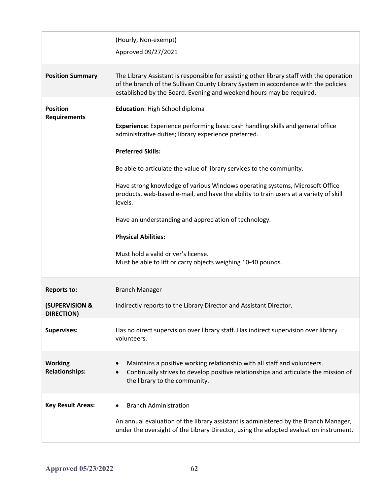|                                                 | (Hourly, Non-exempt)<br>Approved 09/27/2021                                                                                                                                                                                                                                                                                                                                                                                                                                                                                                                                                                                                                             |  |  |
|-------------------------------------------------|-------------------------------------------------------------------------------------------------------------------------------------------------------------------------------------------------------------------------------------------------------------------------------------------------------------------------------------------------------------------------------------------------------------------------------------------------------------------------------------------------------------------------------------------------------------------------------------------------------------------------------------------------------------------------|--|--|
| <b>Position Summary</b>                         | The Library Assistant is responsible for assisting other library staff with the operation<br>of the branch of the Sullivan County Library System in accordance with the policies<br>established by the Board. Evening and weekend hours may be required.                                                                                                                                                                                                                                                                                                                                                                                                                |  |  |
| <b>Position</b><br><b>Requirements</b>          | Education: High School diploma<br><b>Experience:</b> Experience performing basic cash handling skills and general office<br>administrative duties; library experience preferred.<br><b>Preferred Skills:</b><br>Be able to articulate the value of library services to the community.<br>Have strong knowledge of various Windows operating systems, Microsoft Office<br>products, web-based e-mail, and have the ability to train users at a variety of skill<br>levels.<br>Have an understanding and appreciation of technology.<br><b>Physical Abilities:</b><br>Must hold a valid driver's license.<br>Must be able to lift or carry objects weighing 10-40 pounds. |  |  |
| <b>Reports to:</b><br><b>(SUPERVISION &amp;</b> | <b>Branch Manager</b><br>Indirectly reports to the Library Director and Assistant Director.                                                                                                                                                                                                                                                                                                                                                                                                                                                                                                                                                                             |  |  |
| <b>DIRECTION)</b><br><b>Supervises:</b>         | Has no direct supervision over library staff. Has indirect supervision over library<br>volunteers.                                                                                                                                                                                                                                                                                                                                                                                                                                                                                                                                                                      |  |  |
| <b>Working</b><br><b>Relationships:</b>         | Maintains a positive working relationship with all staff and volunteers.<br>$\bullet$<br>Continually strives to develop positive relationships and articulate the mission of<br>$\bullet$<br>the library to the community.                                                                                                                                                                                                                                                                                                                                                                                                                                              |  |  |
| <b>Key Result Areas:</b>                        | <b>Branch Administration</b><br>٠<br>An annual evaluation of the library assistant is administered by the Branch Manager,<br>under the oversight of the Library Director, using the adopted evaluation instrument.                                                                                                                                                                                                                                                                                                                                                                                                                                                      |  |  |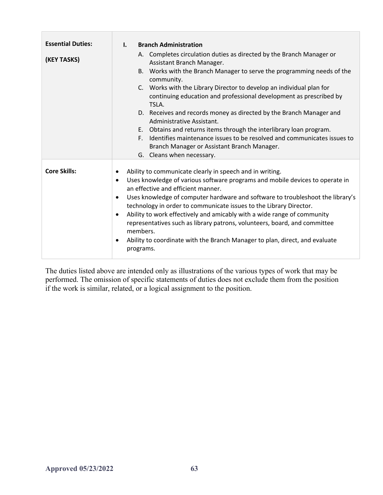| <b>Essential Duties:</b> | <b>Branch Administration</b><br>I.                                                                                                                                                                                                                                                                                                                                                                                                                                                                                                                                                                                                                                                    |  |
|--------------------------|---------------------------------------------------------------------------------------------------------------------------------------------------------------------------------------------------------------------------------------------------------------------------------------------------------------------------------------------------------------------------------------------------------------------------------------------------------------------------------------------------------------------------------------------------------------------------------------------------------------------------------------------------------------------------------------|--|
| (KEY TASKS)              | A. Completes circulation duties as directed by the Branch Manager or<br>Assistant Branch Manager.<br>B. Works with the Branch Manager to serve the programming needs of the<br>community.<br>C. Works with the Library Director to develop an individual plan for<br>continuing education and professional development as prescribed by<br>TSLA.<br>D. Receives and records money as directed by the Branch Manager and<br>Administrative Assistant.<br>E. Obtains and returns items through the interlibrary loan program.<br>F. Identifies maintenance issues to be resolved and communicates issues to<br>Branch Manager or Assistant Branch Manager.<br>G. Cleans when necessary. |  |
| <b>Core Skills:</b>      | Ability to communicate clearly in speech and in writing.<br>Uses knowledge of various software programs and mobile devices to operate in<br>an effective and efficient manner.<br>Uses knowledge of computer hardware and software to troubleshoot the library's<br>technology in order to communicate issues to the Library Director.<br>Ability to work effectively and amicably with a wide range of community<br>representatives such as library patrons, volunteers, board, and committee<br>members.<br>Ability to coordinate with the Branch Manager to plan, direct, and evaluate<br>programs.                                                                                |  |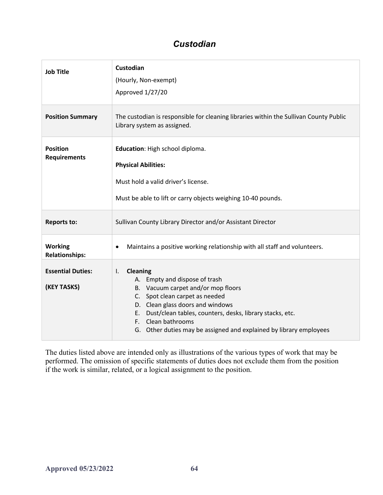### *Custodian*

| <b>Job Title</b>                        | <b>Custodian</b><br>(Hourly, Non-exempt)                                                                                                                                                                                                                                                                                      |  |  |  |
|-----------------------------------------|-------------------------------------------------------------------------------------------------------------------------------------------------------------------------------------------------------------------------------------------------------------------------------------------------------------------------------|--|--|--|
|                                         | Approved 1/27/20                                                                                                                                                                                                                                                                                                              |  |  |  |
| <b>Position Summary</b>                 | The custodian is responsible for cleaning libraries within the Sullivan County Public<br>Library system as assigned.                                                                                                                                                                                                          |  |  |  |
| <b>Position</b><br><b>Requirements</b>  | Education: High school diploma.<br><b>Physical Abilities:</b>                                                                                                                                                                                                                                                                 |  |  |  |
|                                         | Must hold a valid driver's license.                                                                                                                                                                                                                                                                                           |  |  |  |
|                                         | Must be able to lift or carry objects weighing 10-40 pounds.                                                                                                                                                                                                                                                                  |  |  |  |
| <b>Reports to:</b>                      | Sullivan County Library Director and/or Assistant Director                                                                                                                                                                                                                                                                    |  |  |  |
| <b>Working</b><br><b>Relationships:</b> | Maintains a positive working relationship with all staff and volunteers.<br>$\bullet$                                                                                                                                                                                                                                         |  |  |  |
| <b>Essential Duties:</b><br>(KEY TASKS) | <b>Cleaning</b><br>Ι.<br>A. Empty and dispose of trash<br>B. Vacuum carpet and/or mop floors<br>C. Spot clean carpet as needed<br>D. Clean glass doors and windows<br>E. Dust/clean tables, counters, desks, library stacks, etc.<br>F. Clean bathrooms<br>G. Other duties may be assigned and explained by library employees |  |  |  |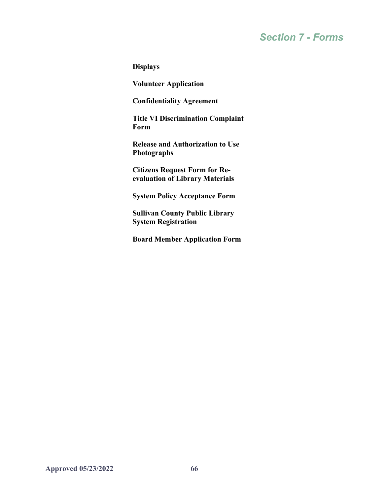### *Section 7 - Forms*

**Displays**

**Volunteer Application**

**Confidentiality Agreement**

**Title VI Discrimination Complaint Form**

**Release and Authorization to Use Photographs**

**Citizens Request Form for Reevaluation of Library Materials**

**System Policy Acceptance Form**

**Sullivan County Public Library System Registration**

**Board Member Application Form**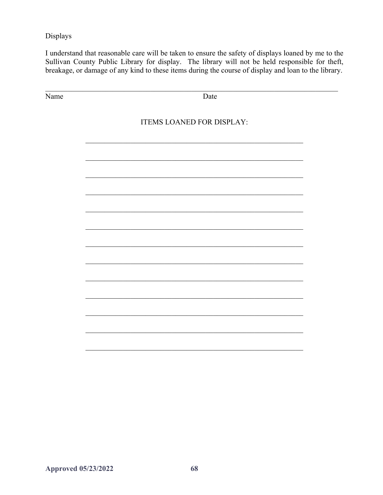Displays

I understand that reasonable care will be taken to ensure the safety of displays loaned by me to the Sullivan County Public Library for display. The library will not be held responsible for theft, breakage, or damage of any kind to these items during the course of display and loan to the library.

| Name | Date                      |
|------|---------------------------|
|      | ITEMS LOANED FOR DISPLAY: |
|      |                           |
|      |                           |
|      |                           |
|      |                           |
|      |                           |
|      |                           |
|      |                           |
|      |                           |
|      |                           |
|      |                           |
|      |                           |
|      |                           |
|      |                           |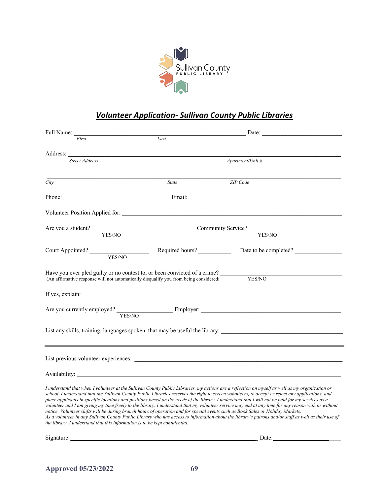

#### *Volunteer Application- Sullivan County Public Libraries*

|                                                                                     |              | Date:                                                                                                                                                                                                                                                                                                                                                                                                                                                                                                                                                                                                                                                                                                                                              |
|-------------------------------------------------------------------------------------|--------------|----------------------------------------------------------------------------------------------------------------------------------------------------------------------------------------------------------------------------------------------------------------------------------------------------------------------------------------------------------------------------------------------------------------------------------------------------------------------------------------------------------------------------------------------------------------------------------------------------------------------------------------------------------------------------------------------------------------------------------------------------|
| Full Name: First                                                                    | Last         |                                                                                                                                                                                                                                                                                                                                                                                                                                                                                                                                                                                                                                                                                                                                                    |
| Address:                                                                            |              |                                                                                                                                                                                                                                                                                                                                                                                                                                                                                                                                                                                                                                                                                                                                                    |
| <b>Street Address</b>                                                               |              | Apartment/Unit #                                                                                                                                                                                                                                                                                                                                                                                                                                                                                                                                                                                                                                                                                                                                   |
|                                                                                     |              |                                                                                                                                                                                                                                                                                                                                                                                                                                                                                                                                                                                                                                                                                                                                                    |
| $\overline{City}$                                                                   | <b>State</b> | ZIP Code                                                                                                                                                                                                                                                                                                                                                                                                                                                                                                                                                                                                                                                                                                                                           |
|                                                                                     |              |                                                                                                                                                                                                                                                                                                                                                                                                                                                                                                                                                                                                                                                                                                                                                    |
|                                                                                     |              |                                                                                                                                                                                                                                                                                                                                                                                                                                                                                                                                                                                                                                                                                                                                                    |
|                                                                                     |              |                                                                                                                                                                                                                                                                                                                                                                                                                                                                                                                                                                                                                                                                                                                                                    |
| Are you a student?<br>YES/NO                                                        |              | Community Service?<br>YES/NO                                                                                                                                                                                                                                                                                                                                                                                                                                                                                                                                                                                                                                                                                                                       |
|                                                                                     |              |                                                                                                                                                                                                                                                                                                                                                                                                                                                                                                                                                                                                                                                                                                                                                    |
| YES/NO                                                                              |              |                                                                                                                                                                                                                                                                                                                                                                                                                                                                                                                                                                                                                                                                                                                                                    |
| Have you ever pled guilty or no contest to, or been convicted of a crime?<br>TES/NO |              |                                                                                                                                                                                                                                                                                                                                                                                                                                                                                                                                                                                                                                                                                                                                                    |
|                                                                                     |              |                                                                                                                                                                                                                                                                                                                                                                                                                                                                                                                                                                                                                                                                                                                                                    |
|                                                                                     |              | Are you currently employed? <u>YES/NO</u> Employer:                                                                                                                                                                                                                                                                                                                                                                                                                                                                                                                                                                                                                                                                                                |
|                                                                                     |              | List any skills, training, languages spoken, that may be useful the library:                                                                                                                                                                                                                                                                                                                                                                                                                                                                                                                                                                                                                                                                       |
|                                                                                     |              |                                                                                                                                                                                                                                                                                                                                                                                                                                                                                                                                                                                                                                                                                                                                                    |
|                                                                                     |              |                                                                                                                                                                                                                                                                                                                                                                                                                                                                                                                                                                                                                                                                                                                                                    |
|                                                                                     |              |                                                                                                                                                                                                                                                                                                                                                                                                                                                                                                                                                                                                                                                                                                                                                    |
|                                                                                     |              | I understand that when I volunteer at the Sullivan County Public Libraries, my actions are a reflection on myself as well as my organization or<br>school. I understand that the Sullivan County Public Libraries reserves the right to screen volunteers, to accept or reject any applications, and<br>place applicants in specific locations and positions based on the needs of the library. I understand that I will not be paid for my services as a<br>volunteer and I am giving my time freely to the library. I understand that my volunteer service may end at any time for any reason with or without<br>notice. Volunteer shifts will be during branch hours of operation and for special events such as Book Sales or Holiday Markets. |

*As a volunteer in any Sullivan County Public Library who has access to information about the library's patrons and/or staff as well as their use of the library, I understand that this information is to be kept confidential.*

Signature: \_\_\_\_\_\_\_\_\_\_\_\_\_\_\_\_\_\_\_\_\_\_\_\_\_\_\_\_\_\_\_\_\_\_\_\_\_\_\_\_\_\_\_\_\_\_\_\_\_\_\_\_\_\_\_\_\_\_\_\_\_\_ Date:\_\_\_\_\_\_\_\_\_\_\_\_\_\_\_\_\_\_\_\_\_\_\_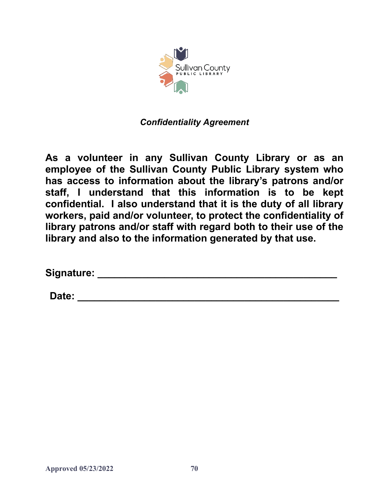

*Confidentiality Agreement*

**As a volunteer in any Sullivan County Library or as an employee of the Sullivan County Public Library system who has access to information about the library's patrons and/or staff, I understand that this information is to be kept confidential. I also understand that it is the duty of all library workers, paid and/or volunteer, to protect the confidentiality of library patrons and/or staff with regard both to their use of the library and also to the information generated by that use.**

**Signature: \_\_\_\_\_\_\_\_\_\_\_\_\_\_\_\_\_\_\_\_\_\_\_\_\_\_\_\_\_\_\_\_\_\_\_\_\_\_\_\_\_\_\_**

**Date: \_\_\_\_\_\_\_\_\_\_\_\_\_\_\_\_\_\_\_\_\_\_\_\_\_\_\_\_\_\_\_\_\_\_\_\_\_\_\_\_\_\_\_\_\_\_\_**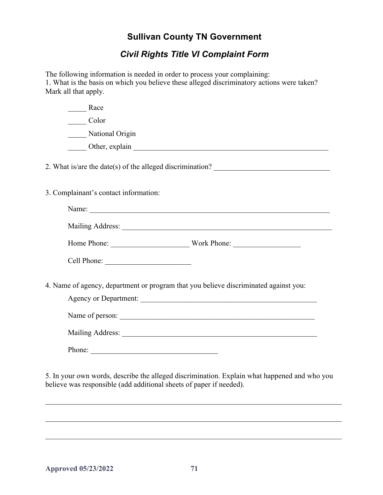#### **Sullivan County TN Government**

#### *Civil Rights Title VI Complaint Form*

The following information is needed in order to process your complaining: 1. What is the basis on which you believe these alleged discriminatory actions were taken? Mark all that apply.

| Race                                                                                 |
|--------------------------------------------------------------------------------------|
| Color                                                                                |
| National Origin                                                                      |
|                                                                                      |
| 2. What is/are the date(s) of the alleged discrimination? _______________________    |
| 3. Complainant's contact information:                                                |
|                                                                                      |
|                                                                                      |
|                                                                                      |
|                                                                                      |
| 4. Name of agency, department or program that you believe discriminated against you: |
|                                                                                      |
| Name of person:                                                                      |
|                                                                                      |
| Phone:                                                                               |

5. In your own words, describe the alleged discrimination. Explain what happened and who you believe was responsible (add additional sheets of paper if needed).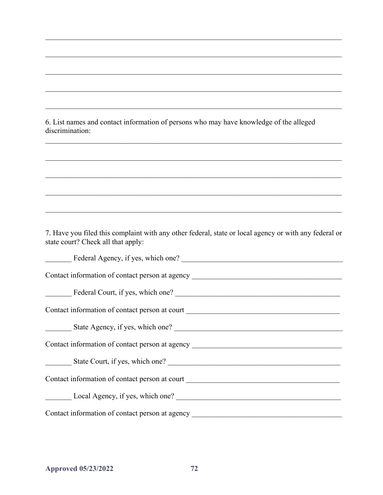6. List names and contact information of persons who may have knowledge of the alleged discrimination:

7. Have you filed this complaint with any other federal, state or local agency or with any federal or state court? Check all that apply:

| Federal Agency, if yes, which one?                                               |
|----------------------------------------------------------------------------------|
| Contact information of contact person at agency ________________________________ |
| Federal Court, if yes, which one?                                                |
| Contact information of contact person at court                                   |
| State Agency, if yes, which one?                                                 |
| Contact information of contact person at agency ________________________________ |
| State Court, if yes, which one?                                                  |
| Contact information of contact person at court                                   |
| Local Agency, if yes, which one?                                                 |
| Contact information of contact person at agency ________________________________ |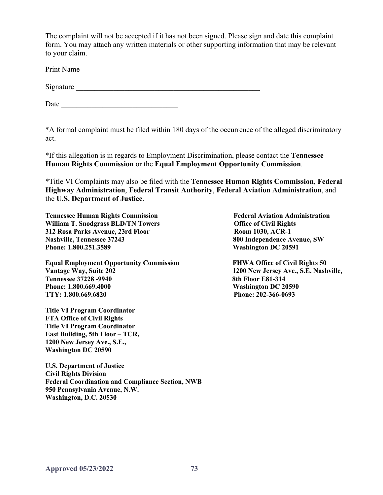The complaint will not be accepted if it has not been signed. Please sign and date this complaint form. You may attach any written materials or other supporting information that may be relevant to your claim.

| Print<br>me<br>Frint F<br>NИ |  |
|------------------------------|--|
|                              |  |

Signature \_\_\_\_\_\_\_\_\_\_\_\_\_\_\_\_\_\_\_\_\_\_\_\_\_\_\_\_\_\_\_\_\_\_\_\_\_\_\_\_\_\_\_\_\_\_\_\_\_

Date  $\Box$ 

\*A formal complaint must be filed within 180 days of the occurrence of the alleged discriminatory act.

\*If this allegation is in regards to Employment Discrimination, please contact the **Tennessee Human Rights Commission** or the **Equal Employment Opportunity Commission**.

\*Title VI Complaints may also be filed with the **Tennessee Human Rights Commission**, **Federal Highway Administration**, **Federal Transit Authority**, **Federal Aviation Administration**, and the **U.S. Department of Justice**.

**Tennessee Human Rights Commission Federal Aviation Administration**  William T. Snodgrass BLD/TN Towers **Office of Civil Rights 312 Rosa Parks Avenue, 23rd Floor Room 1030, ACR-1 Nashville, Tennessee 37243 800 Independence Avenue, SW Phone: 1.800.251.3589 Washington DC 20591** 

**Equal Employment Opportunity Commission FHWA Office of Civil Rights 50 Vantage Way, Suite 202 1200 New Jersey Ave., S.E. Nashville, Tennessee 37228 -9940 8th Floor E81-314 Phone: 1.800.669.4000 Washington DC 20590 TTY: 1.800.669.6820 Phone: 202-366-0693** 

**Title VI Program Coordinator FTA Office of Civil Rights Title VI Program Coordinator East Building, 5th Floor – TCR, 1200 New Jersey Ave., S.E., Washington DC 20590** 

**U.S. Department of Justice Civil Rights Division Federal Coordination and Compliance Section, NWB 950 Pennsylvania Avenue, N.W. Washington, D.C. 20530**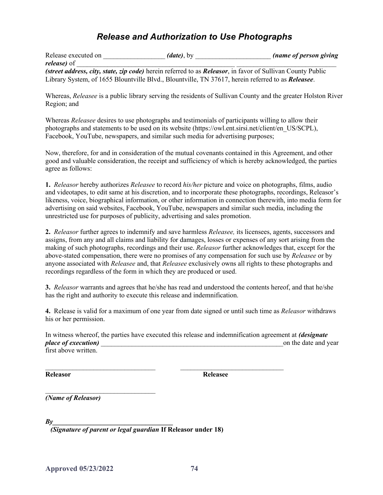#### *Release and Authorization to Use Photographs*

| Release executed on | $(data)$ , by                                                                                              | (name of person giving |
|---------------------|------------------------------------------------------------------------------------------------------------|------------------------|
| <i>release</i> ) of |                                                                                                            |                        |
|                     | (street address, city, state, zip code) herein referred to as Releasor, in favor of Sullivan County Public |                        |
|                     | Library System, of 1655 Blountville Blvd., Blountville, TN 37617, herein referred to as <i>Releasee</i> .  |                        |

Whereas, *Releasee* is a public library serving the residents of Sullivan County and the greater Holston River Region; and

Whereas *Releasee* desires to use photographs and testimonials of participants willing to allow their photographs and statements to be used on its website (https://owl.ent.sirsi.net/client/en\_US/SCPL), Facebook, YouTube, newspapers, and similar such media for advertising purposes;

Now, therefore, for and in consideration of the mutual covenants contained in this Agreement, and other good and valuable consideration, the receipt and sufficiency of which is hereby acknowledged, the parties agree as follows:

**1.** *Releasor* hereby authorizes *Releasee* to record *his/her* picture and voice on photographs, films, audio and videotapes, to edit same at his discretion, and to incorporate these photographs, recordings, Releasor's likeness, voice, biographical information, or other information in connection therewith, into media form for advertising on said websites, Facebook, YouTube, newspapers and similar such media, including the unrestricted use for purposes of publicity, advertising and sales promotion.

**2.** *Releasor* further agrees to indemnify and save harmless *Releasee,* its licensees, agents, successors and assigns, from any and all claims and liability for damages, losses or expenses of any sort arising from the making of such photographs, recordings and their use. *Releasor* further acknowledges that, except for the above-stated compensation, there were no promises of any compensation for such use by *Releasee* or by anyone associated with *Releasee* and, that *Releasee* exclusively owns all rights to these photographs and recordings regardless of the form in which they are produced or used.

**3.** *Releasor* warrants and agrees that he/she has read and understood the contents hereof, and that he/she has the right and authority to execute this release and indemnification.

**4.** Release is valid for a maximum of one year from date signed or until such time as *Releasor* withdraws his or her permission.

In witness whereof, the parties have executed this release and indemnification agreement at *(designate place of execution*) and  $\theta$  and  $\theta$  and  $\theta$  and  $\theta$  and  $\theta$  and  $\theta$  and  $\theta$  and  $\theta$  and  $\theta$  and  $\theta$  and  $\theta$  and  $\theta$  and  $\theta$  and  $\theta$  and  $\theta$  and  $\theta$  and  $\theta$  and  $\theta$  and  $\theta$  and  $\theta$  and  $\theta$  and  $\theta$  an first above written.

 $\mathcal{L}_\text{max} = \frac{1}{2} \sum_{i=1}^n \mathcal{L}_\text{max}(\mathbf{z}_i - \mathbf{z}_i)$ 

**Releasor Releasee**

*(Name of Releasor)*

 $\mathcal{L}_\text{max}$ 

 $By$ 

 *(Signature of parent or legal guardian* **If Releasor under 18)**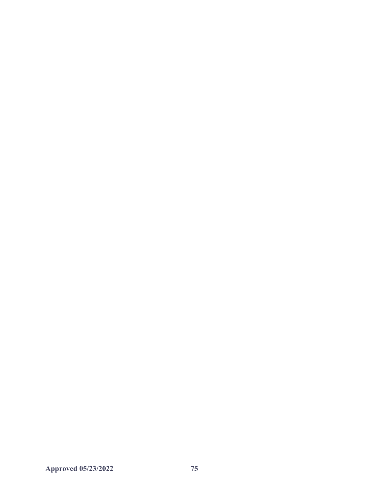**Approved 05/23/2022 75**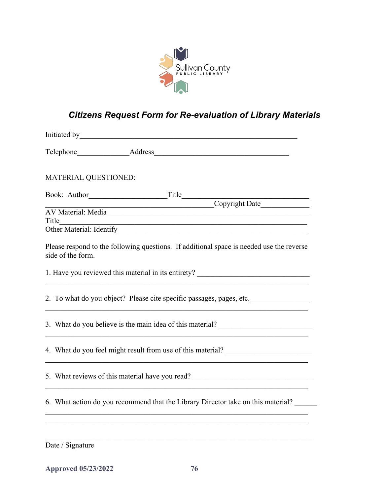

# *Citizens Request Form for Re-evaluation of Library Materials*

| MATERIAL QUESTIONED: |                                                                                                                                                                                             |
|----------------------|---------------------------------------------------------------------------------------------------------------------------------------------------------------------------------------------|
|                      |                                                                                                                                                                                             |
|                      |                                                                                                                                                                                             |
|                      |                                                                                                                                                                                             |
|                      |                                                                                                                                                                                             |
| side of the form.    | Please respond to the following questions. If additional space is needed use the reverse                                                                                                    |
|                      | 1. Have you reviewed this material in its entirety? ____________________________                                                                                                            |
|                      | 2. To what do you object? Please cite specific passages, pages, etc.<br><u> 1989 - Johann John Stoff, deutscher Stoffen und der Stoffen und der Stoffen und der Stoffen und der Stoffen</u> |
|                      | 3. What do you believe is the main idea of this material? ______________________<br><u> 1989 - Johann Stoff, amerikansk politiker (d. 1989)</u>                                             |
|                      | 4. What do you feel might result from use of this material? ____________________                                                                                                            |
|                      | 5. What reviews of this material have you read? ________________________________                                                                                                            |
|                      | 6. What action do you recommend that the Library Director take on this material?                                                                                                            |
|                      |                                                                                                                                                                                             |
| Date / Signature     |                                                                                                                                                                                             |

**Approved 05/23/2022 76**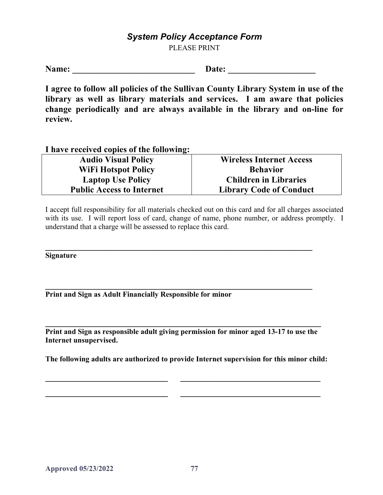#### *System Policy Acceptance Form*

PLEASE PRINT

| Name: | ate: |
|-------|------|
|       |      |

**I agree to follow all policies of the Sullivan County Library System in use of the library as well as library materials and services. I am aware that policies change periodically and are always available in the library and on-line for review.**

| I have received copies of the following: |                                 |
|------------------------------------------|---------------------------------|
| <b>Audio Visual Policy</b>               | <b>Wireless Internet Access</b> |
| <b>WiFi Hotspot Policy</b>               | <b>Behavior</b>                 |
| <b>Laptop Use Policy</b>                 | <b>Children in Libraries</b>    |
| <b>Public Access to Internet</b>         | <b>Library Code of Conduct</b>  |

I accept full responsibility for all materials checked out on this card and for all charges associated with its use. I will report loss of card, change of name, phone number, or address promptly. I understand that a charge will be assessed to replace this card.

**\_\_\_\_\_\_\_\_\_\_\_\_\_\_\_\_\_\_\_\_\_\_\_\_\_\_\_\_\_\_\_\_\_\_\_\_\_\_\_\_\_\_\_\_\_\_\_\_\_\_\_\_\_\_\_\_\_\_\_\_\_**

**\_\_\_\_\_\_\_\_\_\_\_\_\_\_\_\_\_\_\_\_\_\_\_\_\_\_\_\_\_\_\_\_\_\_\_\_\_\_\_\_\_\_\_\_\_\_\_\_\_\_\_\_\_\_\_\_\_\_\_\_\_**

**Signature**

**Print and Sign as Adult Financially Responsible for minor**

**Print and Sign as responsible adult giving permission for minor aged 13-17 to use the Internet unsupervised.**

**\_\_\_\_\_\_\_\_\_\_\_\_\_\_\_\_\_\_\_\_\_\_\_\_\_\_\_\_\_\_\_\_\_\_\_\_\_\_\_\_\_\_\_\_\_\_\_\_\_\_\_\_\_\_\_\_\_\_\_\_\_\_\_**

**The following adults are authorized to provide Internet supervision for this minor child:**

**\_\_\_\_\_\_\_\_\_\_\_\_\_\_\_\_\_\_\_\_\_\_\_\_\_\_\_\_ \_\_\_\_\_\_\_\_\_\_\_\_\_\_\_\_\_\_\_\_\_\_\_\_\_\_\_\_\_\_\_\_**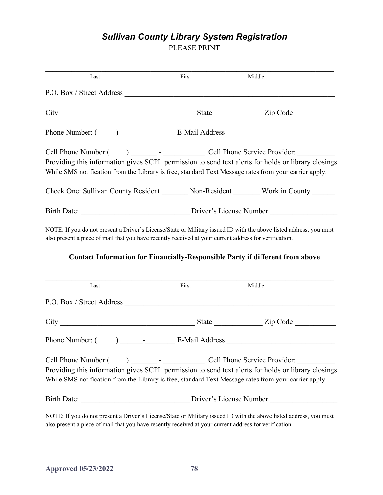## *Sullivan County Library System Registration* PLEASE PRINT

| Last                                                                                                                                                                                                         | First | Middle                  |  |
|--------------------------------------------------------------------------------------------------------------------------------------------------------------------------------------------------------------|-------|-------------------------|--|
| P.O. Box / Street Address                                                                                                                                                                                    |       |                         |  |
|                                                                                                                                                                                                              |       |                         |  |
|                                                                                                                                                                                                              |       |                         |  |
| Providing this information gives SCPL permission to send text alerts for holds or library closings.<br>While SMS notification from the Library is free, standard Text Message rates from your carrier apply. |       |                         |  |
| Check One: Sullivan County Resident Non-Resident Work in County                                                                                                                                              |       |                         |  |
| Birth Date:                                                                                                                                                                                                  |       | Driver's License Number |  |

NOTE: If you do not present a Driver's License/State or Military issued ID with the above listed address, you must also present a piece of mail that you have recently received at your current address for verification.

#### **Contact Information for Financially-Responsible Party if different from above**

| Last                                                                                                  | First                               | Middle                                                                                                            |
|-------------------------------------------------------------------------------------------------------|-------------------------------------|-------------------------------------------------------------------------------------------------------------------|
| P.O. Box / Street Address                                                                             |                                     |                                                                                                                   |
|                                                                                                       |                                     |                                                                                                                   |
|                                                                                                       |                                     |                                                                                                                   |
| While SMS notification from the Library is free, standard Text Message rates from your carrier apply. |                                     | Providing this information gives SCPL permission to send text alerts for holds or library closings.               |
|                                                                                                       | Birth Date: Driver's License Number |                                                                                                                   |
|                                                                                                       |                                     | MOTE, If you do not provided Dairy 2015 to pro Clark on Millene issued ID with the shore listed address, you must |

NOTE: If you do not present a Driver's License/State or Military issued ID with the above listed address, you must also present a piece of mail that you have recently received at your current address for verification.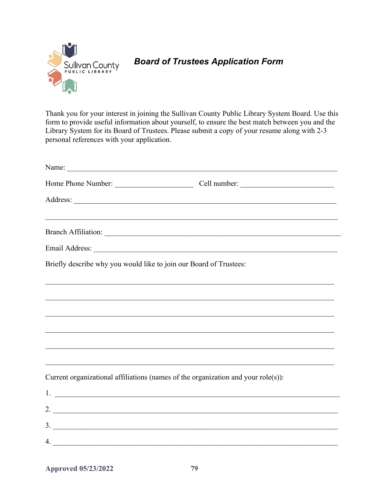

# *Board of Trustees Application Form*

Thank you for your interest in joining the Sullivan County Public Library System Board. Use this form to provide useful information about yourself, to ensure the best match between you and the Library System for its Board of Trustees. Please submit a copy of your resume along with 2-3 personal references with your application.

| Briefly describe why you would like to join our Board of Trustees:                                                                                                                                                                  |                                                                                                                                                                                                                            |
|-------------------------------------------------------------------------------------------------------------------------------------------------------------------------------------------------------------------------------------|----------------------------------------------------------------------------------------------------------------------------------------------------------------------------------------------------------------------------|
|                                                                                                                                                                                                                                     | ,我们也不能在这里的时候,我们也不能在这里的时候,我们也不能会不能会不能会不能会不能会不能会不能会。<br>第2012章 我们的时候,我们的时候,我们的时候,我们的时候,我们的时候,我们的时候,我们的时候,我们的时候,我们的时候,我们的时候,我们的时候,我们的时候,我                                                                                     |
|                                                                                                                                                                                                                                     | ,我们也不能在这里的时候,我们也不能在这里的时候,我们也不能不能不能不能不能不能不能不能不能不能不能。""我们的是我们的。""我们的是我们的,我们也不能不能不能<br>,我们也不能在这里的时候,我们也不能在这里的时候,我们也不能会不能会不能会不能会不能会不能会不能会。<br>第2012章 我们的时候,我们的时候,我们的时候,我们的时候,我们的时候,我们的时候,我们的时候,我们的时候,我们的时候,我们的时候,我们的时候,我们的时候,我 |
| ,我们也不能在这里的时候,我们也不能在这里的时候,我们也不能会在这里的时候,我们也不能会在这里的时候,我们也不能会在这里的时候,我们也不能会在这里的时候,我们也                                                                                                                                                    |                                                                                                                                                                                                                            |
| ,我们也不能在这里的时候,我们也不能在这里的时候,我们也不能会在这里,我们也不能会不能会不能会不能会不能会不能会。""我们,我们也不能会不能会不能会不能会不能会                                                                                                                                                    |                                                                                                                                                                                                                            |
|                                                                                                                                                                                                                                     |                                                                                                                                                                                                                            |
| Current organizational affiliations (names of the organization and your role(s)):                                                                                                                                                   |                                                                                                                                                                                                                            |
|                                                                                                                                                                                                                                     |                                                                                                                                                                                                                            |
| $2.$ $\overline{\phantom{a}}$                                                                                                                                                                                                       |                                                                                                                                                                                                                            |
| $\frac{3}{2}$                                                                                                                                                                                                                       |                                                                                                                                                                                                                            |
| $\mathcal{A}$ . And the contract of the contract of the contract of the contract of the contract of the contract of the contract of the contract of the contract of the contract of the contract of the contract of the contract of |                                                                                                                                                                                                                            |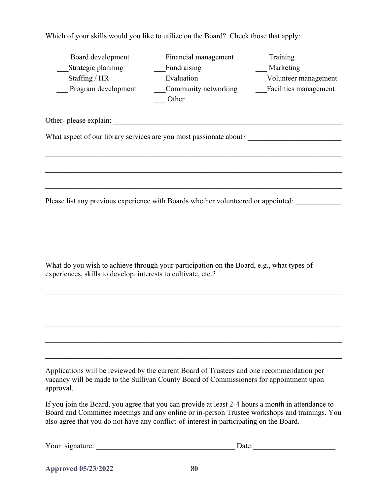Which of your skills would you like to utilize on the Board? Check those that apply:

| Board development<br>Strategic planning<br>Staffing / HR                                                                                                                                                                                                                                      | Financial management<br>Fundraising<br>Evaluation | Training<br>Marketing<br>Volunteer management |
|-----------------------------------------------------------------------------------------------------------------------------------------------------------------------------------------------------------------------------------------------------------------------------------------------|---------------------------------------------------|-----------------------------------------------|
| Program development                                                                                                                                                                                                                                                                           | Community networking<br>Other                     | Facilities management                         |
| Other- please explain:                                                                                                                                                                                                                                                                        |                                                   |                                               |
| What aspect of our library services are you most passionate about?                                                                                                                                                                                                                            |                                                   |                                               |
|                                                                                                                                                                                                                                                                                               |                                                   |                                               |
|                                                                                                                                                                                                                                                                                               |                                                   |                                               |
| Please list any previous experience with Boards whether volunteered or appointed:                                                                                                                                                                                                             |                                                   |                                               |
|                                                                                                                                                                                                                                                                                               |                                                   |                                               |
|                                                                                                                                                                                                                                                                                               |                                                   |                                               |
|                                                                                                                                                                                                                                                                                               |                                                   |                                               |
| What do you wish to achieve through your participation on the Board, e.g., what types of<br>experiences, skills to develop, interests to cultivate, etc.?                                                                                                                                     |                                                   |                                               |
|                                                                                                                                                                                                                                                                                               |                                                   |                                               |
|                                                                                                                                                                                                                                                                                               |                                                   |                                               |
|                                                                                                                                                                                                                                                                                               |                                                   |                                               |
|                                                                                                                                                                                                                                                                                               |                                                   |                                               |
| Applications will be reviewed by the current Board of Trustees and one recommendation per<br>vacancy will be made to the Sullivan County Board of Commissioners for appointment upon<br>approval.                                                                                             |                                                   |                                               |
| If you join the Board, you agree that you can provide at least 2-4 hours a month in attendance to<br>Board and Committee meetings and any online or in-person Trustee workshops and trainings. You<br>also agree that you do not have any conflict-of-interest in participating on the Board. |                                                   |                                               |

Your signature: \_\_\_\_\_\_\_\_\_\_\_\_\_\_\_\_\_\_\_\_\_\_\_\_\_\_\_\_\_\_\_\_\_\_\_\_\_ Date:\_\_\_\_\_\_\_\_\_\_\_\_\_\_\_\_\_\_\_\_\_\_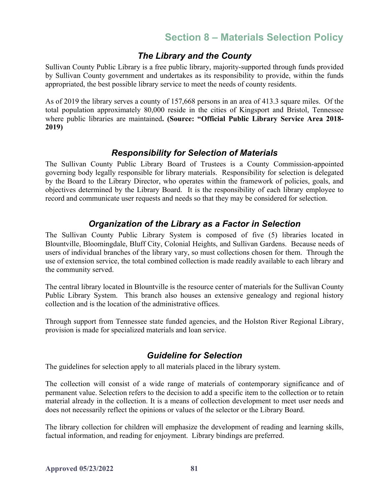# **Section 8 – Materials Selection Policy**

#### *The Library and the County*

Sullivan County Public Library is a free public library, majority-supported through funds provided by Sullivan County government and undertakes as its responsibility to provide, within the funds appropriated, the best possible library service to meet the needs of county residents.

As of 2019 the library serves a county of 157,668 persons in an area of 413.3 square miles. Of the total population approximately 80,000 reside in the cities of Kingsport and Bristol, Tennessee where public libraries are maintained**. (Source: "Official Public Library Service Area 2018- 2019)**

#### *Responsibility for Selection of Materials*

The Sullivan County Public Library Board of Trustees is a County Commission-appointed governing body legally responsible for library materials. Responsibility for selection is delegated by the Board to the Library Director, who operates within the framework of policies, goals, and objectives determined by the Library Board. It is the responsibility of each library employee to record and communicate user requests and needs so that they may be considered for selection.

## *Organization of the Library as a Factor in Selection*

The Sullivan County Public Library System is composed of five (5) libraries located in Blountville, Bloomingdale, Bluff City, Colonial Heights, and Sullivan Gardens. Because needs of users of individual branches of the library vary, so must collections chosen for them. Through the use of extension service, the total combined collection is made readily available to each library and the community served.

The central library located in Blountville is the resource center of materials for the Sullivan County Public Library System. This branch also houses an extensive genealogy and regional history collection and is the location of the administrative offices.

Through support from Tennessee state funded agencies, and the Holston River Regional Library, provision is made for specialized materials and loan service.

#### *Guideline for Selection*

The guidelines for selection apply to all materials placed in the library system.

The collection will consist of a wide range of materials of contemporary significance and of permanent value. Selection refers to the decision to add a specific item to the collection or to retain material already in the collection. It is a means of collection development to meet user needs and does not necessarily reflect the opinions or values of the selector or the Library Board.

The library collection for children will emphasize the development of reading and learning skills, factual information, and reading for enjoyment. Library bindings are preferred.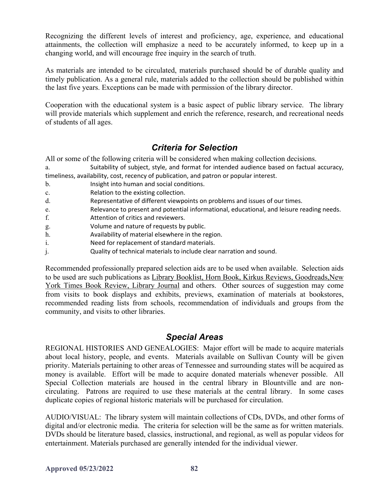Recognizing the different levels of interest and proficiency, age, experience, and educational attainments, the collection will emphasize a need to be accurately informed, to keep up in a changing world, and will encourage free inquiry in the search of truth.

As materials are intended to be circulated, materials purchased should be of durable quality and timely publication. As a general rule, materials added to the collection should be published within the last five years. Exceptions can be made with permission of the library director.

Cooperation with the educational system is a basic aspect of public library service. The library will provide materials which supplement and enrich the reference, research, and recreational needs of students of all ages.

#### *Criteria for Selection*

All or some of the following criteria will be considered when making collection decisions.

a. Suitability of subject, style, and format for intended audience based on factual accuracy, timeliness, availability, cost, recency of publication, and patron or popular interest.

- b. Insight into human and social conditions.
- c. Relation to the existing collection.
- d. Representative of different viewpoints on problems and issues of our times.
- e. Relevance to present and potential informational, educational, and leisure reading needs.
- f. Attention of critics and reviewers.
- g. Volume and nature of requests by public.
- h. Availability of material elsewhere in the region.
- i. Need for replacement of standard materials.
- j. Quality of technical materials to include clear narration and sound.

Recommended professionally prepared selection aids are to be used when available. Selection aids to be used are such publications as Library Booklist, Horn Book, Kirkus Reviews, Goodreads,New York Times Book Review, Library Journal and others. Other sources of suggestion may come from visits to book displays and exhibits, previews, examination of materials at bookstores, recommended reading lists from schools, recommendation of individuals and groups from the community, and visits to other libraries.

#### *Special Areas*

REGIONAL HISTORIES AND GENEALOGIES: Major effort will be made to acquire materials about local history, people, and events. Materials available on Sullivan County will be given priority. Materials pertaining to other areas of Tennessee and surrounding states will be acquired as money is available. Effort will be made to acquire donated materials whenever possible. All Special Collection materials are housed in the central library in Blountville and are noncirculating. Patrons are required to use these materials at the central library. In some cases duplicate copies of regional historic materials will be purchased for circulation.

AUDIO/VISUAL: The library system will maintain collections of CDs, DVDs, and other forms of digital and/or electronic media. The criteria for selection will be the same as for written materials. DVDs should be literature based, classics, instructional, and regional, as well as popular videos for entertainment. Materials purchased are generally intended for the individual viewer.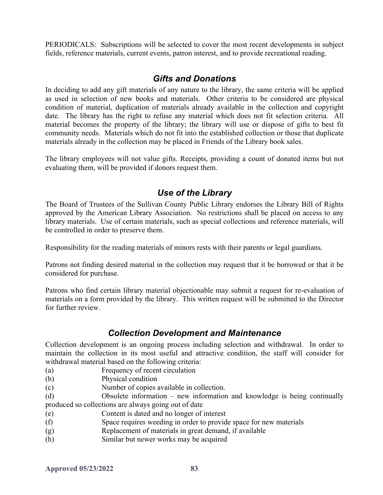PERIODICALS: Subscriptions will be selected to cover the most recent developments in subject fields, reference materials, current events, patron interest, and to provide recreational reading.

#### *Gifts and Donations*

In deciding to add any gift materials of any nature to the library, the same criteria will be applied as used in selection of new books and materials. Other criteria to be considered are physical condition of material, duplication of materials already available in the collection and copyright date. The library has the right to refuse any material which does not fit selection criteria. All material becomes the property of the library; the library will use or dispose of gifts to best fit community needs. Materials which do not fit into the established collection or those that duplicate materials already in the collection may be placed in Friends of the Library book sales.

The library employees will not value gifts. Receipts, providing a count of donated items but not evaluating them, will be provided if donors request them.

#### *Use of the Library*

The Board of Trustees of the Sullivan County Public Library endorses the Library Bill of Rights approved by the American Library Association. No restrictions shall be placed on access to any library materials. Use of certain materials, such as special collections and reference materials, will be controlled in order to preserve them.

Responsibility for the reading materials of minors rests with their parents or legal guardians.

Patrons not finding desired material in the collection may request that it be borrowed or that it be considered for purchase.

Patrons who find certain library material objectionable may submit a request for re-evaluation of materials on a form provided by the library. This written request will be submitted to the Director for further review.

#### *Collection Development and Maintenance*

Collection development is an ongoing process including selection and withdrawal. In order to maintain the collection in its most useful and attractive condition, the staff will consider for withdrawal material based on the following criteria:

- (a) Frequency of recent circulation
- (b) Physical condition
- (c) Number of copies available in collection.
- (d) Obsolete information new information and knowledge is being continually produced so collections are always going out of date
- (e) Content is dated and no longer of interest
- (f) Space requires weeding in order to provide space for new materials
- (g) Replacement of materials in great demand, if available
- (h) Similar but newer works may be acquired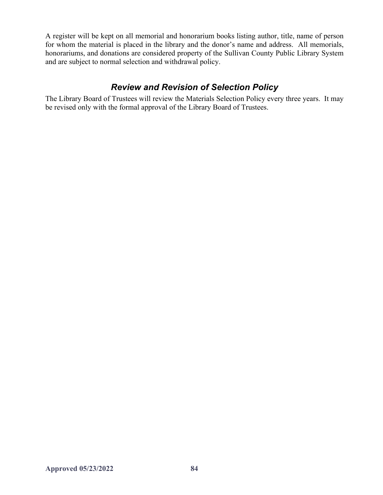A register will be kept on all memorial and honorarium books listing author, title, name of person for whom the material is placed in the library and the donor's name and address. All memorials, honorariums, and donations are considered property of the Sullivan County Public Library System and are subject to normal selection and withdrawal policy.

## *Review and Revision of Selection Policy*

The Library Board of Trustees will review the Materials Selection Policy every three years. It may be revised only with the formal approval of the Library Board of Trustees.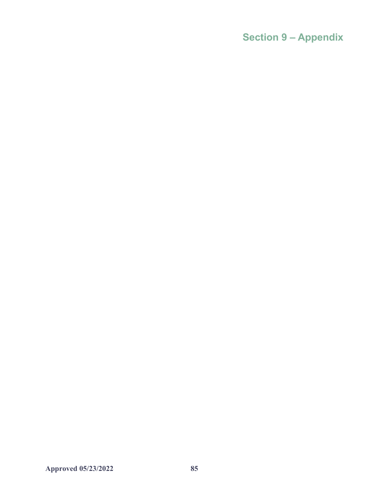# **Section 9 – Appendix**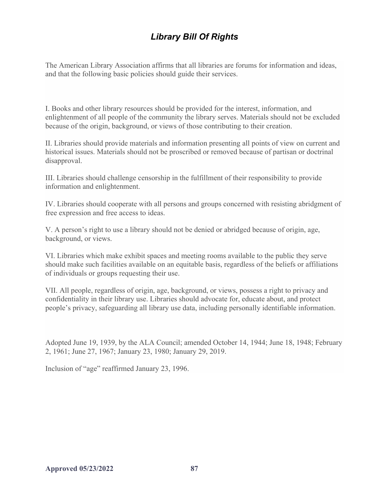# *Library Bill Of Rights*

The American Library Association affirms that all libraries are forums for information and ideas, and that the following basic policies should guide their services.

I. Books and other library resources should be provided for the interest, information, and enlightenment of all people of the community the library serves. Materials should not be excluded because of the origin, background, or views of those contributing to their creation.

II. Libraries should provide materials and information presenting all points of view on current and historical issues. Materials should not be proscribed or removed because of partisan or doctrinal disapproval.

III. Libraries should challenge censorship in the fulfillment of their responsibility to provide information and enlightenment.

IV. Libraries should cooperate with all persons and groups concerned with resisting abridgment of free expression and free access to ideas.

V. A person's right to use a library should not be denied or abridged because of origin, age, background, or views.

VI. Libraries which make exhibit spaces and meeting rooms available to the public they serve should make such facilities available on an equitable basis, regardless of the beliefs or affiliations of individuals or groups requesting their use.

VII. All people, regardless of origin, age, background, or views, possess a right to privacy and confidentiality in their library use. Libraries should advocate for, educate about, and protect people's privacy, safeguarding all library use data, including personally identifiable information.

Adopted June 19, 1939, by the ALA Council; amended October 14, 1944; June 18, 1948; February 2, 1961; June 27, 1967; January 23, 1980; January 29, 2019.

Inclusion of "age" reaffirmed January 23, 1996.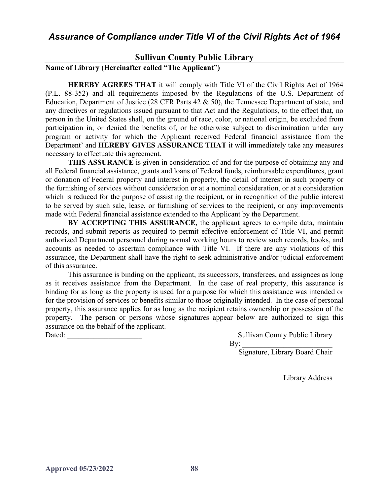#### **Sullivan County Public Library**

**Name of Library (Hereinafter called "The Applicant")**

**HEREBY AGREES THAT** it will comply with Title VI of the Civil Rights Act of 1964 (P.L. 88-352) and all requirements imposed by the Regulations of the U.S. Department of Education, Department of Justice (28 CFR Parts 42 & 50), the Tennessee Department of state, and any directives or regulations issued pursuant to that Act and the Regulations, to the effect that, no person in the United States shall, on the ground of race, color, or national origin, be excluded from participation in, or denied the benefits of, or be otherwise subject to discrimination under any program or activity for which the Applicant received Federal financial assistance from the Department' and **HEREBY GIVES ASSURANCE THAT** it will immediately take any measures necessary to effectuate this agreement.

**THIS ASSURANCE** is given in consideration of and for the purpose of obtaining any and all Federal financial assistance, grants and loans of Federal funds, reimbursable expenditures, grant or donation of Federal property and interest in property, the detail of interest in such property or the furnishing of services without consideration or at a nominal consideration, or at a consideration which is reduced for the purpose of assisting the recipient, or in recognition of the public interest to be served by such sale, lease, or furnishing of services to the recipient, or any improvements made with Federal financial assistance extended to the Applicant by the Department.

**BY ACCEPTING THIS ASSURANCE,** the applicant agrees to compile data, maintain records, and submit reports as required to permit effective enforcement of Title VI, and permit authorized Department personnel during normal working hours to review such records, books, and accounts as needed to ascertain compliance with Title VI. If there are any violations of this assurance, the Department shall have the right to seek administrative and/or judicial enforcement of this assurance.

This assurance is binding on the applicant, its successors, transferees, and assignees as long as it receives assistance from the Department. In the case of real property, this assurance is binding for as long as the property is used for a purpose for which this assistance was intended or for the provision of services or benefits similar to those originally intended. In the case of personal property, this assurance applies for as long as the recipient retains ownership or possession of the property. The person or persons whose signatures appear below are authorized to sign this assurance on the behalf of the applicant.

Dated: **Dated: Dated: County Public Library** Sullivan County Public Library

By:

Signature, Library Board Chair

Library Address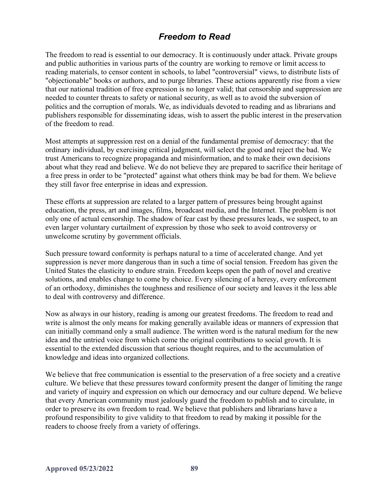## *Freedom to Read*

The freedom to read is essential to our democracy. It is continuously under attack. Private groups and public authorities in various parts of the country are working to remove or limit access to reading materials, to censor content in schools, to label "controversial" views, to distribute lists of "objectionable" books or authors, and to purge libraries. These actions apparently rise from a view that our national tradition of free expression is no longer valid; that censorship and suppression are needed to counter threats to safety or national security, as well as to avoid the subversion of politics and the corruption of morals. We, as individuals devoted to reading and as librarians and publishers responsible for disseminating ideas, wish to assert the public interest in the preservation of the freedom to read.

Most attempts at suppression rest on a denial of the fundamental premise of democracy: that the ordinary individual, by exercising critical judgment, will select the good and reject the bad. We trust Americans to recognize propaganda and misinformation, and to make their own decisions about what they read and believe. We do not believe they are prepared to sacrifice their heritage of a free press in order to be "protected" against what others think may be bad for them. We believe they still favor free enterprise in ideas and expression.

These efforts at suppression are related to a larger pattern of pressures being brought against education, the press, art and images, films, broadcast media, and the Internet. The problem is not only one of actual censorship. The shadow of fear cast by these pressures leads, we suspect, to an even larger voluntary curtailment of expression by those who seek to avoid controversy or unwelcome scrutiny by government officials.

Such pressure toward conformity is perhaps natural to a time of accelerated change. And yet suppression is never more dangerous than in such a time of social tension. Freedom has given the United States the elasticity to endure strain. Freedom keeps open the path of novel and creative solutions, and enables change to come by choice. Every silencing of a heresy, every enforcement of an orthodoxy, diminishes the toughness and resilience of our society and leaves it the less able to deal with controversy and difference.

Now as always in our history, reading is among our greatest freedoms. The freedom to read and write is almost the only means for making generally available ideas or manners of expression that can initially command only a small audience. The written word is the natural medium for the new idea and the untried voice from which come the original contributions to social growth. It is essential to the extended discussion that serious thought requires, and to the accumulation of knowledge and ideas into organized collections.

We believe that free communication is essential to the preservation of a free society and a creative culture. We believe that these pressures toward conformity present the danger of limiting the range and variety of inquiry and expression on which our democracy and our culture depend. We believe that every American community must jealously guard the freedom to publish and to circulate, in order to preserve its own freedom to read. We believe that publishers and librarians have a profound responsibility to give validity to that freedom to read by making it possible for the readers to choose freely from a variety of offerings.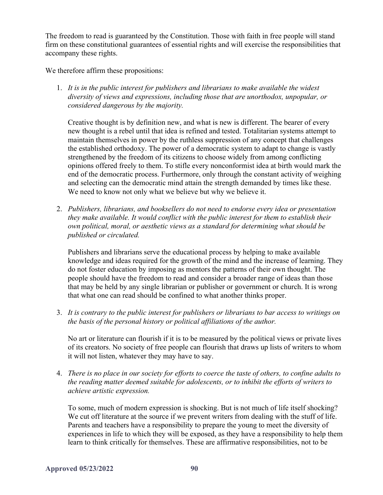The freedom to read is guaranteed by the Constitution. Those with faith in free people will stand firm on these constitutional guarantees of essential rights and will exercise the responsibilities that accompany these rights.

We therefore affirm these propositions:

1. *It is in the public interest for publishers and librarians to make available the widest diversity of views and expressions, including those that are unorthodox, unpopular, or considered dangerous by the majority.*

Creative thought is by definition new, and what is new is different. The bearer of every new thought is a rebel until that idea is refined and tested. Totalitarian systems attempt to maintain themselves in power by the ruthless suppression of any concept that challenges the established orthodoxy. The power of a democratic system to adapt to change is vastly strengthened by the freedom of its citizens to choose widely from among conflicting opinions offered freely to them. To stifle every nonconformist idea at birth would mark the end of the democratic process. Furthermore, only through the constant activity of weighing and selecting can the democratic mind attain the strength demanded by times like these. We need to know not only what we believe but why we believe it.

2. *Publishers, librarians, and booksellers do not need to endorse every idea or presentation they make available. It would conflict with the public interest for them to establish their own political, moral, or aesthetic views as a standard for determining what should be published or circulated.*

Publishers and librarians serve the educational process by helping to make available knowledge and ideas required for the growth of the mind and the increase of learning. They do not foster education by imposing as mentors the patterns of their own thought. The people should have the freedom to read and consider a broader range of ideas than those that may be held by any single librarian or publisher or government or church. It is wrong that what one can read should be confined to what another thinks proper.

3. *It is contrary to the public interest for publishers or librarians to bar access to writings on the basis of the personal history or political affiliations of the author.*

No art or literature can flourish if it is to be measured by the political views or private lives of its creators. No society of free people can flourish that draws up lists of writers to whom it will not listen, whatever they may have to say.

4. *There is no place in our society for efforts to coerce the taste of others, to confine adults to the reading matter deemed suitable for adolescents, or to inhibit the efforts of writers to achieve artistic expression.*

To some, much of modern expression is shocking. But is not much of life itself shocking? We cut off literature at the source if we prevent writers from dealing with the stuff of life. Parents and teachers have a responsibility to prepare the young to meet the diversity of experiences in life to which they will be exposed, as they have a responsibility to help them learn to think critically for themselves. These are affirmative responsibilities, not to be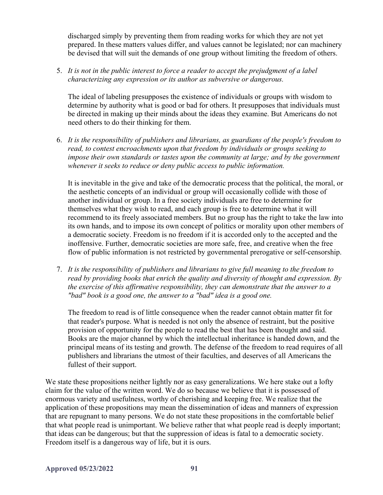discharged simply by preventing them from reading works for which they are not yet prepared. In these matters values differ, and values cannot be legislated; nor can machinery be devised that will suit the demands of one group without limiting the freedom of others.

5. *It is not in the public interest to force a reader to accept the prejudgment of a label characterizing any expression or its author as subversive or dangerous.*

The ideal of labeling presupposes the existence of individuals or groups with wisdom to determine by authority what is good or bad for others. It presupposes that individuals must be directed in making up their minds about the ideas they examine. But Americans do not need others to do their thinking for them.

6. *It is the responsibility of publishers and librarians, as guardians of the people's freedom to read, to contest encroachments upon that freedom by individuals or groups seeking to impose their own standards or tastes upon the community at large; and by the government whenever it seeks to reduce or deny public access to public information.*

It is inevitable in the give and take of the democratic process that the political, the moral, or the aesthetic concepts of an individual or group will occasionally collide with those of another individual or group. In a free society individuals are free to determine for themselves what they wish to read, and each group is free to determine what it will recommend to its freely associated members. But no group has the right to take the law into its own hands, and to impose its own concept of politics or morality upon other members of a democratic society. Freedom is no freedom if it is accorded only to the accepted and the inoffensive. Further, democratic societies are more safe, free, and creative when the free flow of public information is not restricted by governmental prerogative or self-censorship.

7. *It is the responsibility of publishers and librarians to give full meaning to the freedom to read by providing books that enrich the quality and diversity of thought and expression. By the exercise of this affirmative responsibility, they can demonstrate that the answer to a "bad" book is a good one, the answer to a "bad" idea is a good one.*

The freedom to read is of little consequence when the reader cannot obtain matter fit for that reader's purpose. What is needed is not only the absence of restraint, but the positive provision of opportunity for the people to read the best that has been thought and said. Books are the major channel by which the intellectual inheritance is handed down, and the principal means of its testing and growth. The defense of the freedom to read requires of all publishers and librarians the utmost of their faculties, and deserves of all Americans the fullest of their support.

We state these propositions neither lightly nor as easy generalizations. We here stake out a lofty claim for the value of the written word. We do so because we believe that it is possessed of enormous variety and usefulness, worthy of cherishing and keeping free. We realize that the application of these propositions may mean the dissemination of ideas and manners of expression that are repugnant to many persons. We do not state these propositions in the comfortable belief that what people read is unimportant. We believe rather that what people read is deeply important; that ideas can be dangerous; but that the suppression of ideas is fatal to a democratic society. Freedom itself is a dangerous way of life, but it is ours.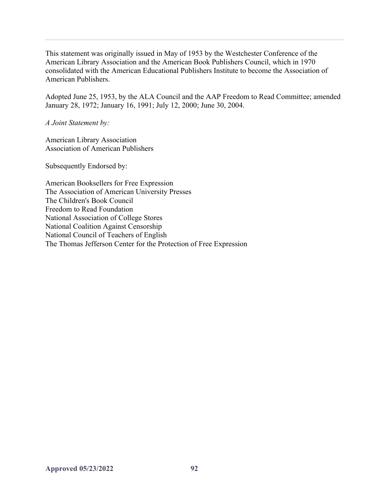This statement was originally issued in May of 1953 by the Westchester Conference of the American Library Association and the American Book Publishers Council, which in 1970 consolidated with the American Educational Publishers Institute to become the Association of American Publishers.

Adopted June 25, 1953, by the ALA Council and the AAP Freedom to Read Committee; amended January 28, 1972; January 16, 1991; July 12, 2000; June 30, 2004.

*A Joint Statement by:*

American Library Association Association of American Publishers

Subsequently Endorsed by:

American Booksellers for Free Expression The Association of American University Presses The Children's Book Council Freedom to Read Foundation National Association of College Stores National Coalition Against Censorship National Council of Teachers of English The Thomas Jefferson Center for the Protection of Free Expression